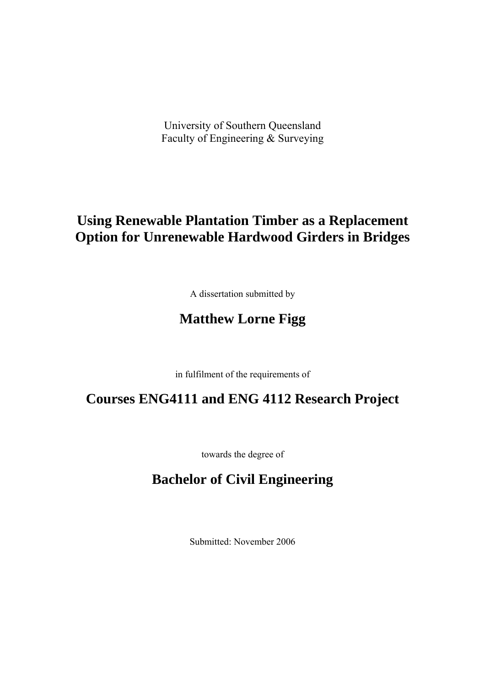University of Southern Queensland Faculty of Engineering & Surveying

# **Using Renewable Plantation Timber as a Replacement Option for Unrenewable Hardwood Girders in Bridges**

A dissertation submitted by

# **Matthew Lorne Figg**

in fulfilment of the requirements of

# **Courses ENG4111 and ENG 4112 Research Project**

towards the degree of

## **Bachelor of Civil Engineering**

Submitted: November 2006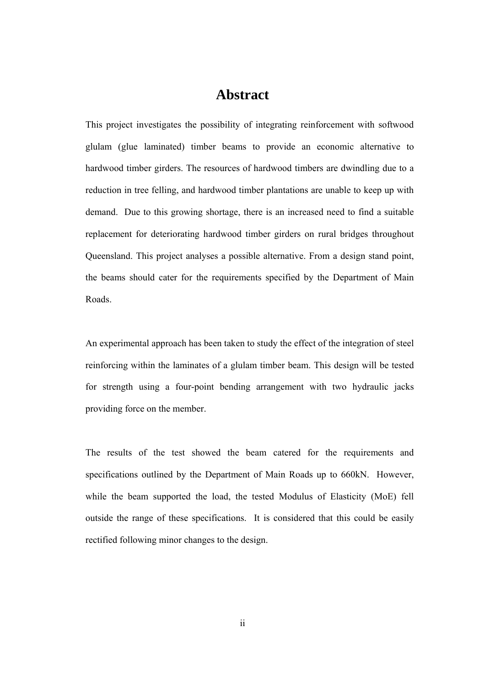## **Abstract**

This project investigates the possibility of integrating reinforcement with softwood glulam (glue laminated) timber beams to provide an economic alternative to hardwood timber girders. The resources of hardwood timbers are dwindling due to a reduction in tree felling, and hardwood timber plantations are unable to keep up with demand. Due to this growing shortage, there is an increased need to find a suitable replacement for deteriorating hardwood timber girders on rural bridges throughout Queensland. This project analyses a possible alternative. From a design stand point, the beams should cater for the requirements specified by the Department of Main Roads.

An experimental approach has been taken to study the effect of the integration of steel reinforcing within the laminates of a glulam timber beam. This design will be tested for strength using a four-point bending arrangement with two hydraulic jacks providing force on the member.

The results of the test showed the beam catered for the requirements and specifications outlined by the Department of Main Roads up to 660kN. However, while the beam supported the load, the tested Modulus of Elasticity (MoE) fell outside the range of these specifications. It is considered that this could be easily rectified following minor changes to the design.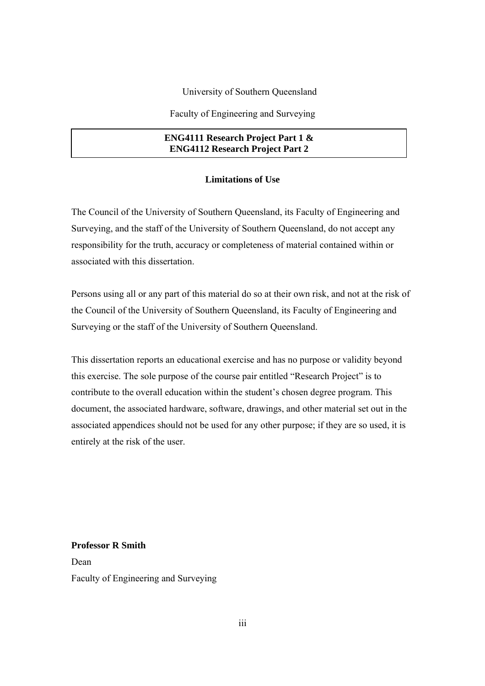University of Southern Queensland

Faculty of Engineering and Surveying

#### **ENG4111 Research Project Part 1 & ENG4112 Research Project Part 2**

#### **Limitations of Use**

The Council of the University of Southern Queensland, its Faculty of Engineering and Surveying, and the staff of the University of Southern Queensland, do not accept any responsibility for the truth, accuracy or completeness of material contained within or associated with this dissertation.

Persons using all or any part of this material do so at their own risk, and not at the risk of the Council of the University of Southern Queensland, its Faculty of Engineering and Surveying or the staff of the University of Southern Queensland.

This dissertation reports an educational exercise and has no purpose or validity beyond this exercise. The sole purpose of the course pair entitled "Research Project" is to contribute to the overall education within the student's chosen degree program. This document, the associated hardware, software, drawings, and other material set out in the associated appendices should not be used for any other purpose; if they are so used, it is entirely at the risk of the user.

**Professor R Smith**  Dean Faculty of Engineering and Surveying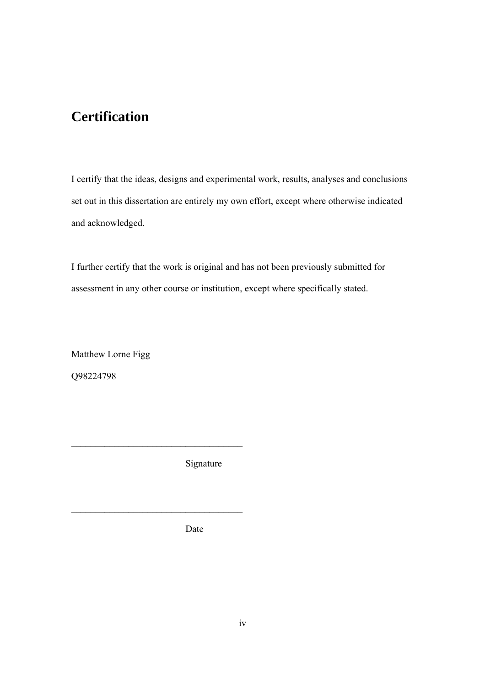# **Certification**

I certify that the ideas, designs and experimental work, results, analyses and conclusions set out in this dissertation are entirely my own effort, except where otherwise indicated and acknowledged.

I further certify that the work is original and has not been previously submitted for assessment in any other course or institution, except where specifically stated.

Matthew Lorne Figg Q98224798

Signature

 $\overline{\phantom{a}}$  , where  $\overline{\phantom{a}}$  , where  $\overline{\phantom{a}}$  , where  $\overline{\phantom{a}}$  , where  $\overline{\phantom{a}}$ 

\_\_\_\_\_\_\_\_\_\_\_\_\_\_\_\_\_\_\_\_\_\_\_\_\_\_\_\_\_\_\_\_\_\_\_\_

Date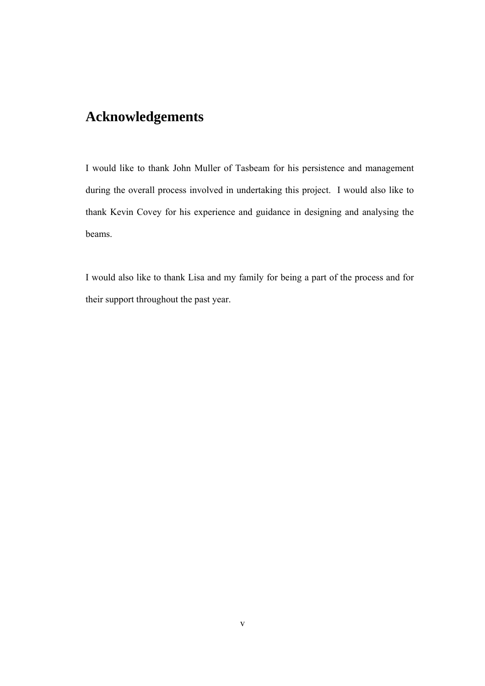# **Acknowledgements**

I would like to thank John Muller of Tasbeam for his persistence and management during the overall process involved in undertaking this project. I would also like to thank Kevin Covey for his experience and guidance in designing and analysing the beams.

I would also like to thank Lisa and my family for being a part of the process and for their support throughout the past year.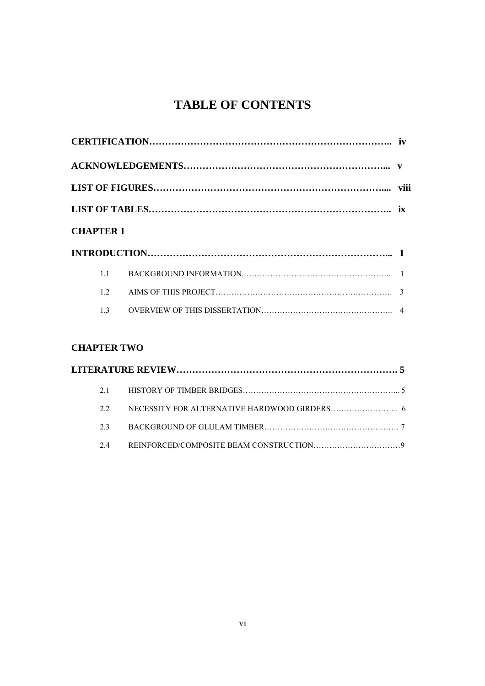# **TABLE OF CONTENTS**

| <b>CHAPTER 1</b> |  |
|------------------|--|
|                  |  |
| 11               |  |
| 12               |  |
|                  |  |

## **CHAPTER TWO**

|  | 21 |  |  |
|--|----|--|--|
|  | 22 |  |  |
|  | 23 |  |  |
|  | 24 |  |  |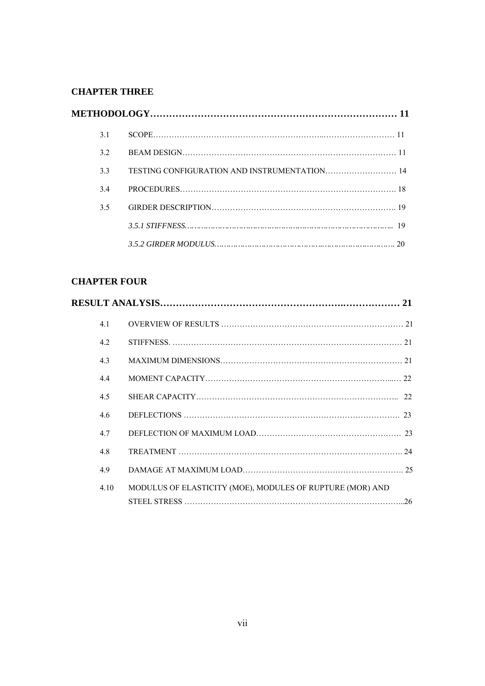## **CHAPTER THREE**

| 3.1 |                                              |  |
|-----|----------------------------------------------|--|
| 32  |                                              |  |
| 3.3 | TESTING CONFIGURATION AND INSTRUMENTATION 14 |  |
| 34  |                                              |  |
| 3.5 |                                              |  |
|     |                                              |  |
|     |                                              |  |

## **CHAPTER FOUR**

| 4.1  |                                                           |  |
|------|-----------------------------------------------------------|--|
| 4.2  |                                                           |  |
| 4.3  |                                                           |  |
| 4.4  |                                                           |  |
| 4.5  |                                                           |  |
| 4.6  |                                                           |  |
| 4.7  |                                                           |  |
| 4.8  |                                                           |  |
| 4.9  |                                                           |  |
| 4.10 | MODULUS OF ELASTICITY (MOE), MODULES OF RUPTURE (MOR) AND |  |
|      |                                                           |  |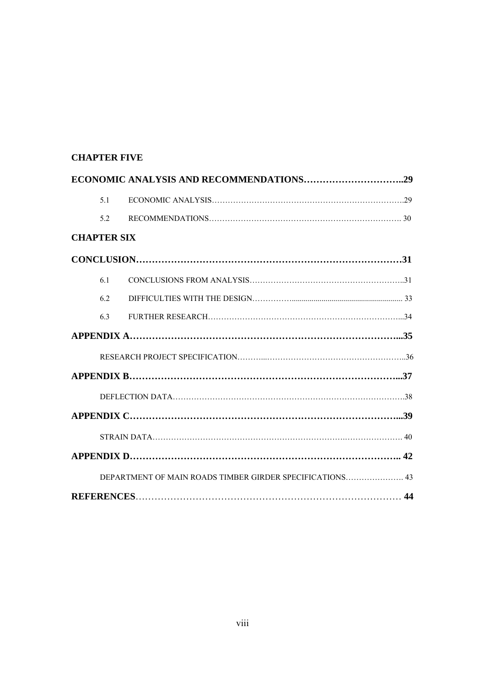### **CHAPTER FIVE**

| 5.1                                                      |  |
|----------------------------------------------------------|--|
| 52                                                       |  |
| <b>CHAPTER SIX</b>                                       |  |
|                                                          |  |
| 6.1                                                      |  |
| 62                                                       |  |
| 63                                                       |  |
|                                                          |  |
|                                                          |  |
|                                                          |  |
|                                                          |  |
|                                                          |  |
|                                                          |  |
|                                                          |  |
| DEPARTMENT OF MAIN ROADS TIMBER GIRDER SPECIFICATIONS 43 |  |
|                                                          |  |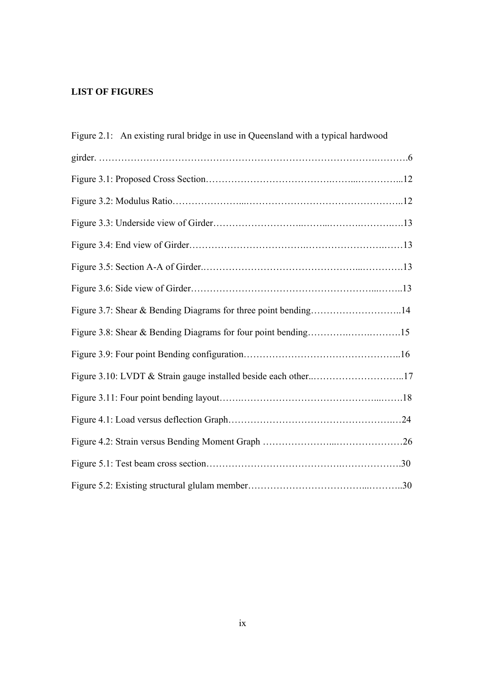## **LIST OF FIGURES**

| Figure 2.1: An existing rural bridge in use in Queensland with a typical hardwood |  |
|-----------------------------------------------------------------------------------|--|
|                                                                                   |  |
|                                                                                   |  |
|                                                                                   |  |
|                                                                                   |  |
|                                                                                   |  |
|                                                                                   |  |
|                                                                                   |  |
| Figure 3.7: Shear & Bending Diagrams for three point bending14                    |  |
| Figure 3.8: Shear & Bending Diagrams for four point bending15                     |  |
|                                                                                   |  |
| Figure 3.10: LVDT & Strain gauge installed beside each other17                    |  |
|                                                                                   |  |
|                                                                                   |  |
|                                                                                   |  |
|                                                                                   |  |
|                                                                                   |  |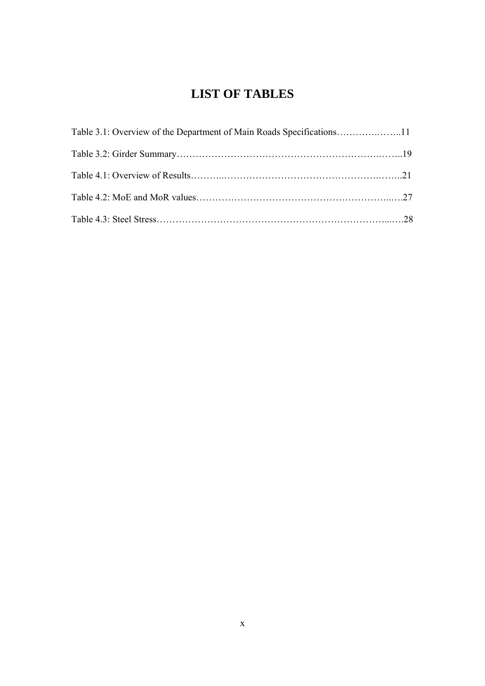## **LIST OF TABLES**

| Table 3.1: Overview of the Department of Main Roads Specifications11 |  |
|----------------------------------------------------------------------|--|
|                                                                      |  |
|                                                                      |  |
|                                                                      |  |
|                                                                      |  |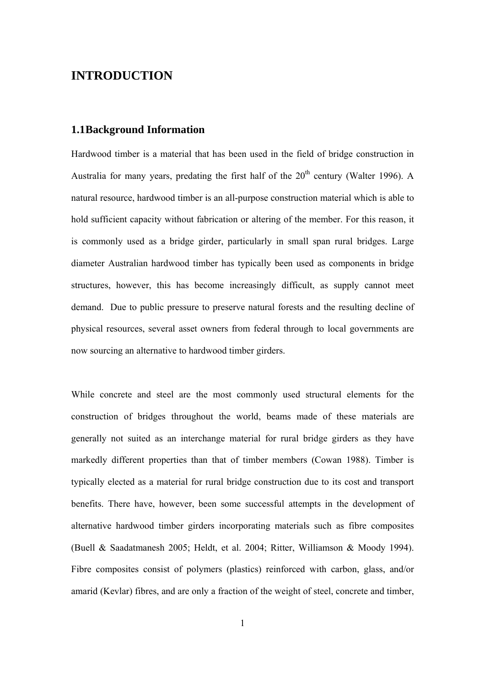## **INTRODUCTION**

#### **1.1 Background Information**

Hardwood timber is a material that has been used in the field of bridge construction in Australia for many years, predating the first half of the  $20<sup>th</sup>$  century (Walter 1996). A natural resource, hardwood timber is an all-purpose construction material which is able to hold sufficient capacity without fabrication or altering of the member. For this reason, it is commonly used as a bridge girder, particularly in small span rural bridges. Large diameter Australian hardwood timber has typically been used as components in bridge structures, however, this has become increasingly difficult, as supply cannot meet demand. Due to public pressure to preserve natural forests and the resulting decline of physical resources, several asset owners from federal through to local governments are now sourcing an alternative to hardwood timber girders.

While concrete and steel are the most commonly used structural elements for the construction of bridges throughout the world, beams made of these materials are generally not suited as an interchange material for rural bridge girders as they have markedly different properties than that of timber members (Cowan 1988). Timber is typically elected as a material for rural bridge construction due to its cost and transport benefits. There have, however, been some successful attempts in the development of alternative hardwood timber girders incorporating materials such as fibre composites (Buell & Saadatmanesh 2005; Heldt, et al. 2004; Ritter, Williamson & Moody 1994). Fibre composites consist of polymers (plastics) reinforced with carbon, glass, and/or amarid (Kevlar) fibres, and are only a fraction of the weight of steel, concrete and timber,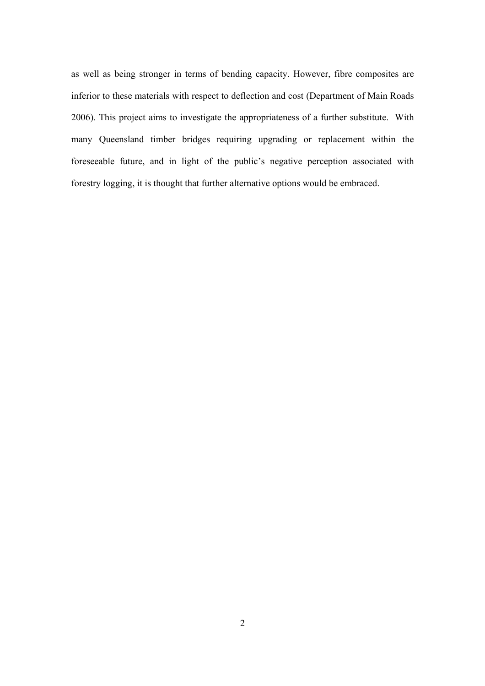as well as being stronger in terms of bending capacity. However, fibre composites are inferior to these materials with respect to deflection and cost (Department of Main Roads 2006). This project aims to investigate the appropriateness of a further substitute. With many Queensland timber bridges requiring upgrading or replacement within the foreseeable future, and in light of the public's negative perception associated with forestry logging, it is thought that further alternative options would be embraced.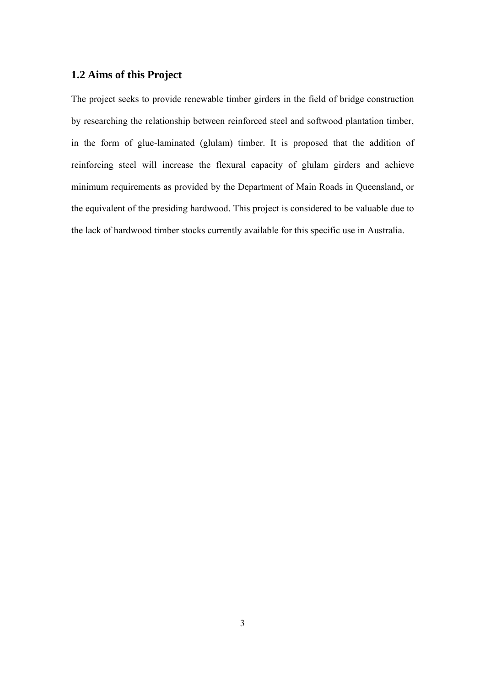### **1.2 Aims of this Project**

The project seeks to provide renewable timber girders in the field of bridge construction by researching the relationship between reinforced steel and softwood plantation timber, in the form of glue-laminated (glulam) timber. It is proposed that the addition of reinforcing steel will increase the flexural capacity of glulam girders and achieve minimum requirements as provided by the Department of Main Roads in Queensland, or the equivalent of the presiding hardwood. This project is considered to be valuable due to the lack of hardwood timber stocks currently available for this specific use in Australia.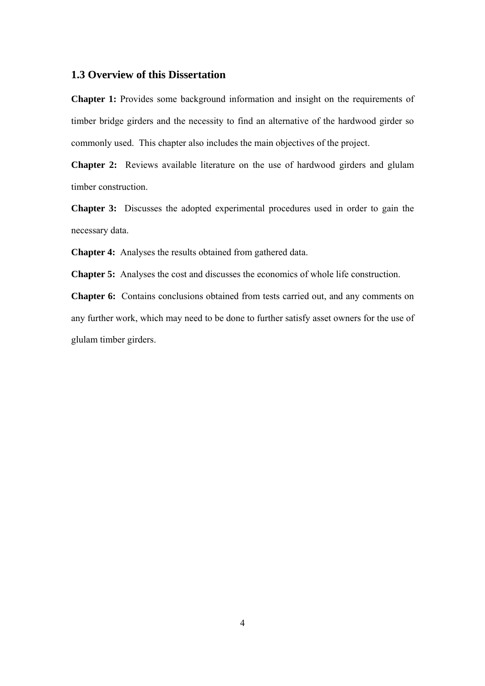#### **1.3 Overview of this Dissertation**

**Chapter 1:** Provides some background information and insight on the requirements of timber bridge girders and the necessity to find an alternative of the hardwood girder so commonly used. This chapter also includes the main objectives of the project.

**Chapter 2:** Reviews available literature on the use of hardwood girders and glulam timber construction.

**Chapter 3:** Discusses the adopted experimental procedures used in order to gain the necessary data.

**Chapter 4:** Analyses the results obtained from gathered data.

**Chapter 5:** Analyses the cost and discusses the economics of whole life construction.

**Chapter 6:** Contains conclusions obtained from tests carried out, and any comments on any further work, which may need to be done to further satisfy asset owners for the use of glulam timber girders.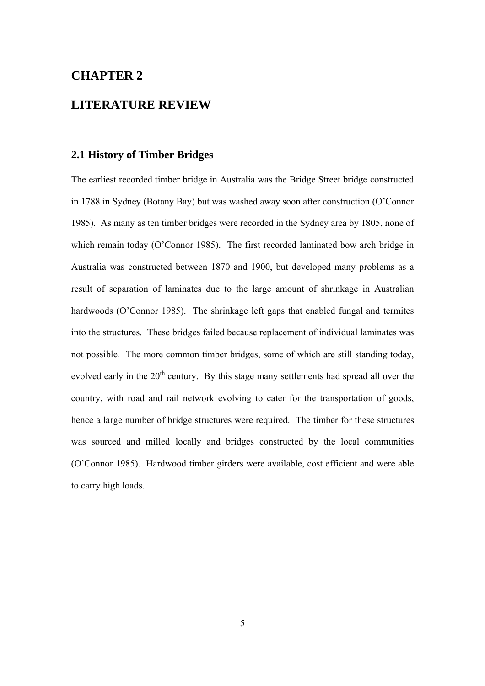## **CHAPTER 2**

## **LITERATURE REVIEW**

#### **2.1 History of Timber Bridges**

The earliest recorded timber bridge in Australia was the Bridge Street bridge constructed in 1788 in Sydney (Botany Bay) but was washed away soon after construction (O'Connor 1985). As many as ten timber bridges were recorded in the Sydney area by 1805, none of which remain today (O'Connor 1985). The first recorded laminated bow arch bridge in Australia was constructed between 1870 and 1900, but developed many problems as a result of separation of laminates due to the large amount of shrinkage in Australian hardwoods (O'Connor 1985). The shrinkage left gaps that enabled fungal and termites into the structures. These bridges failed because replacement of individual laminates was not possible. The more common timber bridges, some of which are still standing today, evolved early in the 20<sup>th</sup> century. By this stage many settlements had spread all over the country, with road and rail network evolving to cater for the transportation of goods, hence a large number of bridge structures were required. The timber for these structures was sourced and milled locally and bridges constructed by the local communities (O'Connor 1985). Hardwood timber girders were available, cost efficient and were able to carry high loads.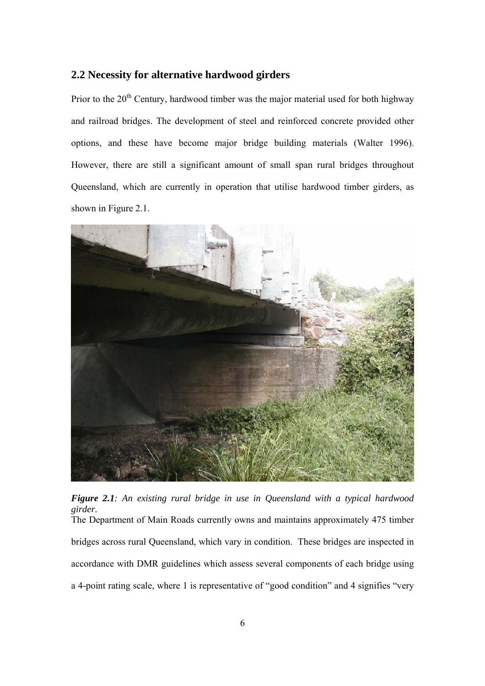#### **2.2 Necessity for alternative hardwood girders**

Prior to the  $20<sup>th</sup>$  Century, hardwood timber was the major material used for both highway and railroad bridges. The development of steel and reinforced concrete provided other options, and these have become major bridge building materials (Walter 1996). However, there are still a significant amount of small span rural bridges throughout Queensland, which are currently in operation that utilise hardwood timber girders, as shown in Figure 2.1.



*Figure 2.1: An existing rural bridge in use in Queensland with a typical hardwood girder.*  The Department of Main Roads currently owns and maintains approximately 475 timber bridges across rural Queensland, which vary in condition. These bridges are inspected in accordance with DMR guidelines which assess several components of each bridge using a 4-point rating scale, where 1 is representative of "good condition" and 4 signifies "very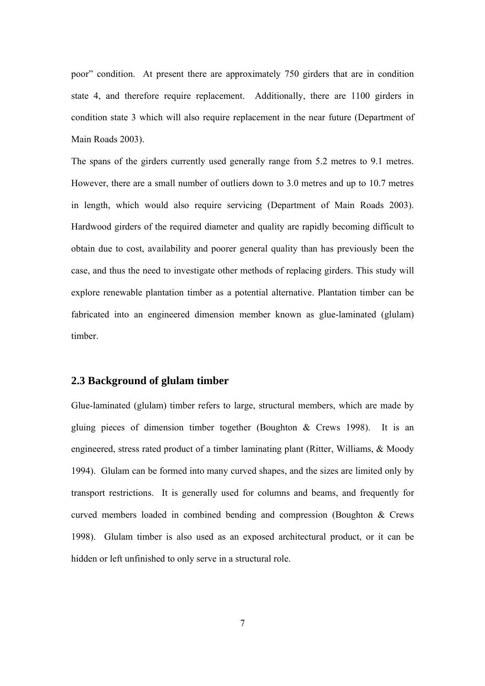poor" condition. At present there are approximately 750 girders that are in condition state 4, and therefore require replacement. Additionally, there are 1100 girders in condition state 3 which will also require replacement in the near future (Department of Main Roads 2003).

The spans of the girders currently used generally range from 5.2 metres to 9.1 metres. However, there are a small number of outliers down to 3.0 metres and up to 10.7 metres in length, which would also require servicing (Department of Main Roads 2003). Hardwood girders of the required diameter and quality are rapidly becoming difficult to obtain due to cost, availability and poorer general quality than has previously been the case, and thus the need to investigate other methods of replacing girders. This study will explore renewable plantation timber as a potential alternative. Plantation timber can be fabricated into an engineered dimension member known as glue-laminated (glulam) timber.

#### **2.3 Background of glulam timber**

Glue-laminated (glulam) timber refers to large, structural members, which are made by gluing pieces of dimension timber together (Boughton  $\&$  Crews 1998). It is an engineered, stress rated product of a timber laminating plant (Ritter, Williams, & Moody 1994). Glulam can be formed into many curved shapes, and the sizes are limited only by transport restrictions. It is generally used for columns and beams, and frequently for curved members loaded in combined bending and compression (Boughton & Crews 1998). Glulam timber is also used as an exposed architectural product, or it can be hidden or left unfinished to only serve in a structural role.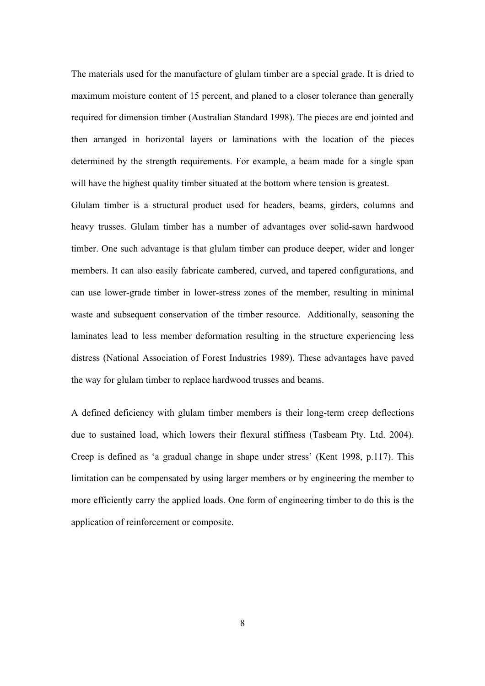The materials used for the manufacture of glulam timber are a special grade. It is dried to maximum moisture content of 15 percent, and planed to a closer tolerance than generally required for dimension timber (Australian Standard 1998). The pieces are end jointed and then arranged in horizontal layers or laminations with the location of the pieces determined by the strength requirements. For example, a beam made for a single span will have the highest quality timber situated at the bottom where tension is greatest.

Glulam timber is a structural product used for headers, beams, girders, columns and heavy trusses. Glulam timber has a number of advantages over solid-sawn hardwood timber. One such advantage is that glulam timber can produce deeper, wider and longer members. It can also easily fabricate cambered, curved, and tapered configurations, and can use lower-grade timber in lower-stress zones of the member, resulting in minimal waste and subsequent conservation of the timber resource. Additionally, seasoning the laminates lead to less member deformation resulting in the structure experiencing less distress (National Association of Forest Industries 1989). These advantages have paved the way for glulam timber to replace hardwood trusses and beams.

A defined deficiency with glulam timber members is their long-term creep deflections due to sustained load, which lowers their flexural stiffness (Tasbeam Pty. Ltd. 2004). Creep is defined as 'a gradual change in shape under stress' (Kent 1998, p.117). This limitation can be compensated by using larger members or by engineering the member to more efficiently carry the applied loads. One form of engineering timber to do this is the application of reinforcement or composite.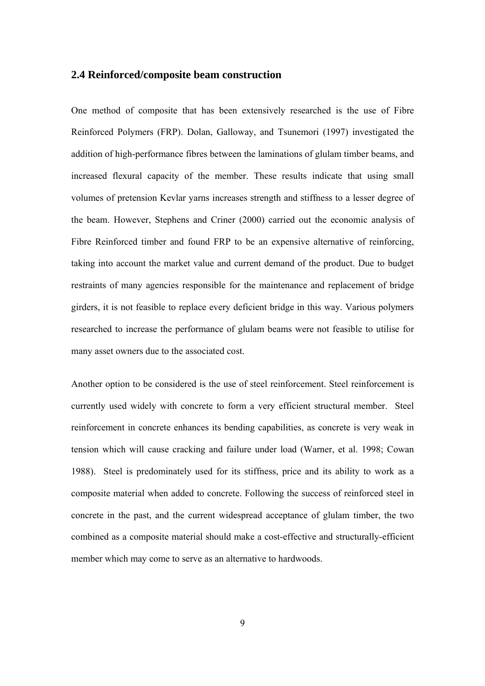#### **2.4 Reinforced/composite beam construction**

One method of composite that has been extensively researched is the use of Fibre Reinforced Polymers (FRP). Dolan, Galloway, and Tsunemori (1997) investigated the addition of high-performance fibres between the laminations of glulam timber beams, and increased flexural capacity of the member. These results indicate that using small volumes of pretension Kevlar yarns increases strength and stiffness to a lesser degree of the beam. However, Stephens and Criner (2000) carried out the economic analysis of Fibre Reinforced timber and found FRP to be an expensive alternative of reinforcing, taking into account the market value and current demand of the product. Due to budget restraints of many agencies responsible for the maintenance and replacement of bridge girders, it is not feasible to replace every deficient bridge in this way. Various polymers researched to increase the performance of glulam beams were not feasible to utilise for many asset owners due to the associated cost.

Another option to be considered is the use of steel reinforcement. Steel reinforcement is currently used widely with concrete to form a very efficient structural member. Steel reinforcement in concrete enhances its bending capabilities, as concrete is very weak in tension which will cause cracking and failure under load (Warner, et al. 1998; Cowan 1988). Steel is predominately used for its stiffness, price and its ability to work as a composite material when added to concrete. Following the success of reinforced steel in concrete in the past, and the current widespread acceptance of glulam timber, the two combined as a composite material should make a cost-effective and structurally-efficient member which may come to serve as an alternative to hardwoods.

9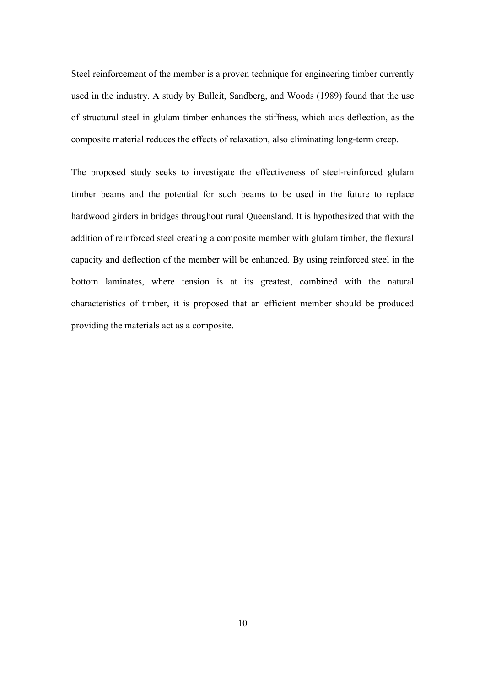Steel reinforcement of the member is a proven technique for engineering timber currently used in the industry. A study by Bulleit, Sandberg, and Woods (1989) found that the use of structural steel in glulam timber enhances the stiffness, which aids deflection, as the composite material reduces the effects of relaxation, also eliminating long-term creep.

The proposed study seeks to investigate the effectiveness of steel-reinforced glulam timber beams and the potential for such beams to be used in the future to replace hardwood girders in bridges throughout rural Queensland. It is hypothesized that with the addition of reinforced steel creating a composite member with glulam timber, the flexural capacity and deflection of the member will be enhanced. By using reinforced steel in the bottom laminates, where tension is at its greatest, combined with the natural characteristics of timber, it is proposed that an efficient member should be produced providing the materials act as a composite.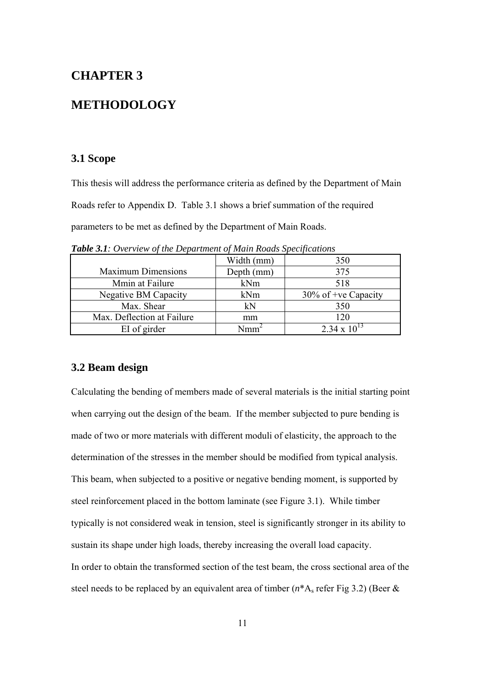## **CHAPTER 3**

## **METHODOLOGY**

#### **3.1 Scope**

This thesis will address the performance criteria as defined by the Department of Main Roads refer to Appendix D. Table 3.1 shows a brief summation of the required parameters to be met as defined by the Department of Main Roads.

|                             | Width (mm) | 350                    |
|-----------------------------|------------|------------------------|
| <b>Maximum Dimensions</b>   | Depth (mm) | 375                    |
| Mmin at Failure             | kNm        | 518                    |
| <b>Negative BM Capacity</b> | kNm        | $30\%$ of +ve Capacity |
| Max. Shear                  | kN         | 350                    |
| Max. Deflection at Failure  | mm         | 120                    |
| EI of girder                | Jmm        | $2.34 \times 10^{13}$  |

*Table 3.1: Overview of the Department of Main Roads Specifications* 

#### **3.2 Beam design**

Calculating the bending of members made of several materials is the initial starting point when carrying out the design of the beam. If the member subjected to pure bending is made of two or more materials with different moduli of elasticity, the approach to the determination of the stresses in the member should be modified from typical analysis. This beam, when subjected to a positive or negative bending moment, is supported by steel reinforcement placed in the bottom laminate (see Figure 3.1). While timber typically is not considered weak in tension, steel is significantly stronger in its ability to sustain its shape under high loads, thereby increasing the overall load capacity. In order to obtain the transformed section of the test beam, the cross sectional area of the steel needs to be replaced by an equivalent area of timber  $(n^*A_s$  refer Fig 3.2) (Beer  $\&$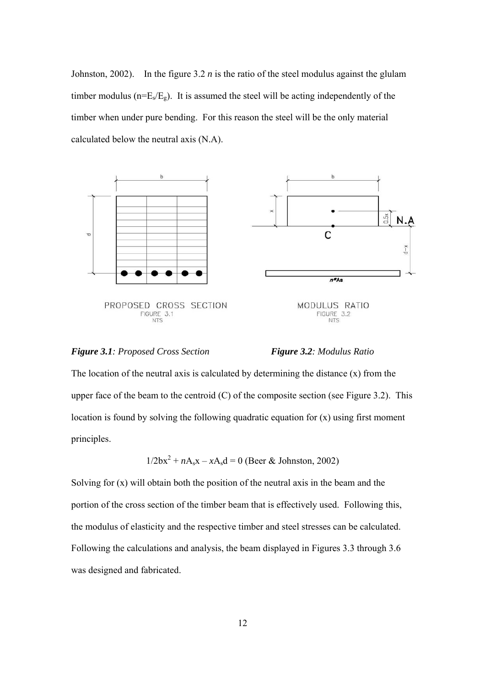Johnston, 2002). In the figure  $3.2 n$  is the ratio of the steel modulus against the glulam timber modulus ( $n=E<sub>s</sub>/E<sub>g</sub>$ ). It is assumed the steel will be acting independently of the timber when under pure bending. For this reason the steel will be the only material calculated below the neutral axis (N.A).







The location of the neutral axis is calculated by determining the distance  $(x)$  from the upper face of the beam to the centroid  $(C)$  of the composite section (see Figure 3.2). This location is found by solving the following quadratic equation for (x) using first moment principles.

$$
1/2bx2 + nAsx - xAsd = 0
$$
 (Beer & Johnson, 2002)

Solving for (x) will obtain both the position of the neutral axis in the beam and the portion of the cross section of the timber beam that is effectively used. Following this, the modulus of elasticity and the respective timber and steel stresses can be calculated. Following the calculations and analysis, the beam displayed in Figures 3.3 through 3.6 was designed and fabricated.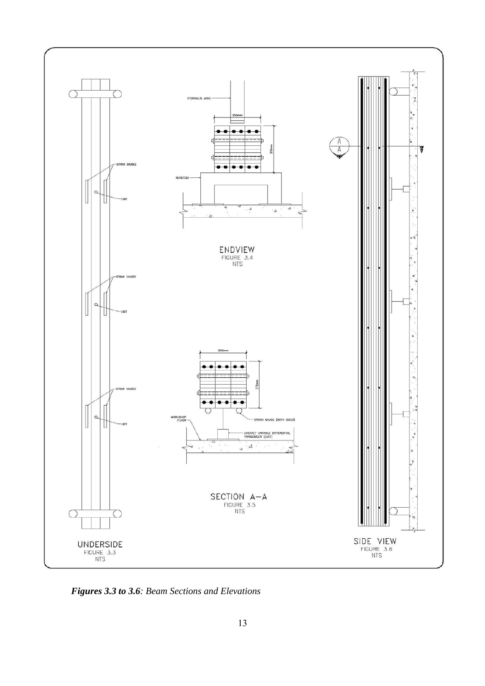

*Figures 3.3 to 3.6: Beam Sections and Elevations*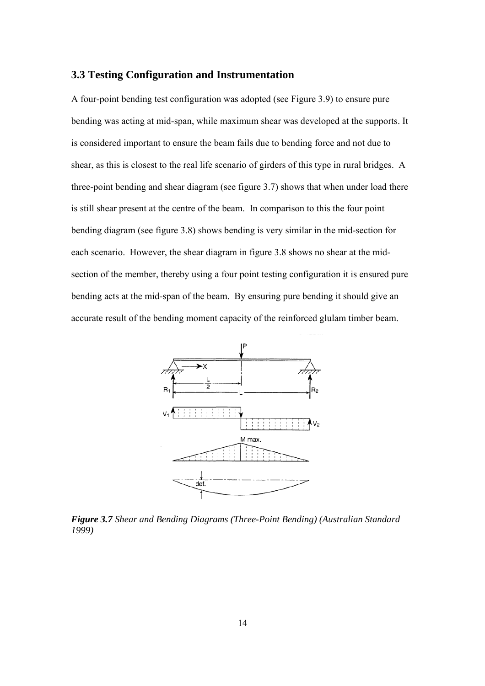#### **3.3 Testing Configuration and Instrumentation**

A four-point bending test configuration was adopted (see Figure 3.9) to ensure pure bending was acting at mid-span, while maximum shear was developed at the supports. It is considered important to ensure the beam fails due to bending force and not due to shear, as this is closest to the real life scenario of girders of this type in rural bridges. A three-point bending and shear diagram (see figure 3.7) shows that when under load there is still shear present at the centre of the beam. In comparison to this the four point bending diagram (see figure 3.8) shows bending is very similar in the mid-section for each scenario. However, the shear diagram in figure 3.8 shows no shear at the midsection of the member, thereby using a four point testing configuration it is ensured pure bending acts at the mid-span of the beam. By ensuring pure bending it should give an accurate result of the bending moment capacity of the reinforced glulam timber beam.



*Figure 3.7 Shear and Bending Diagrams (Three-Point Bending) (Australian Standard 1999)*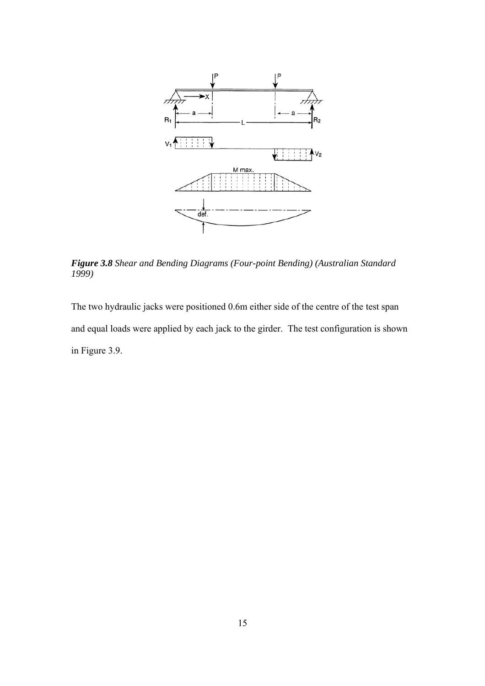

*Figure 3.8 Shear and Bending Diagrams (Four-point Bending) (Australian Standard 1999)*

The two hydraulic jacks were positioned 0.6m either side of the centre of the test span and equal loads were applied by each jack to the girder. The test configuration is shown in Figure 3.9.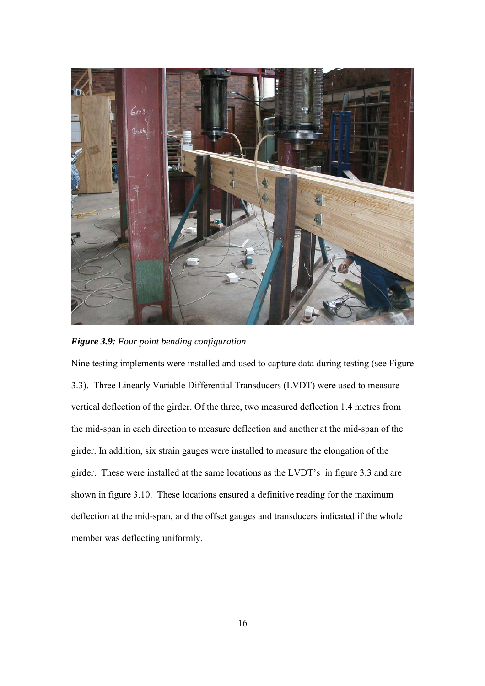

*Figure 3.9: Four point bending configuration* 

Nine testing implements were installed and used to capture data during testing (see Figure 3.3). Three Linearly Variable Differential Transducers (LVDT) were used to measure vertical deflection of the girder. Of the three, two measured deflection 1.4 metres from the mid-span in each direction to measure deflection and another at the mid-span of the girder. In addition, six strain gauges were installed to measure the elongation of the girder. These were installed at the same locations as the LVDT's in figure 3.3 and are shown in figure 3.10. These locations ensured a definitive reading for the maximum deflection at the mid-span, and the offset gauges and transducers indicated if the whole member was deflecting uniformly.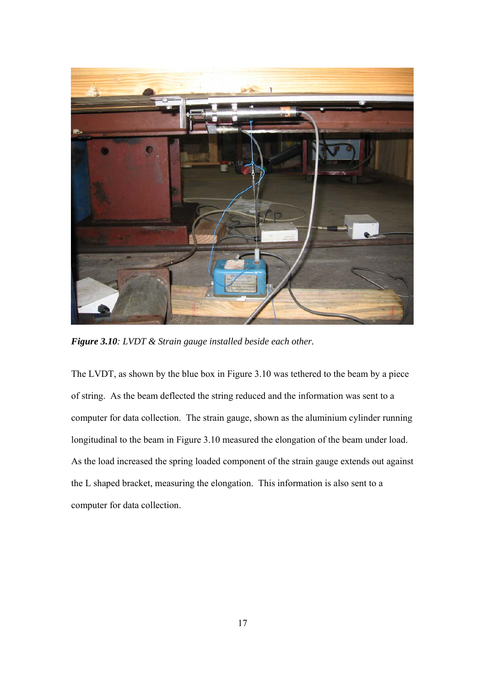

*Figure 3.10: LVDT & Strain gauge installed beside each other.* 

The LVDT, as shown by the blue box in Figure 3.10 was tethered to the beam by a piece of string. As the beam deflected the string reduced and the information was sent to a computer for data collection. The strain gauge, shown as the aluminium cylinder running longitudinal to the beam in Figure 3.10 measured the elongation of the beam under load. As the load increased the spring loaded component of the strain gauge extends out against the L shaped bracket, measuring the elongation. This information is also sent to a computer for data collection.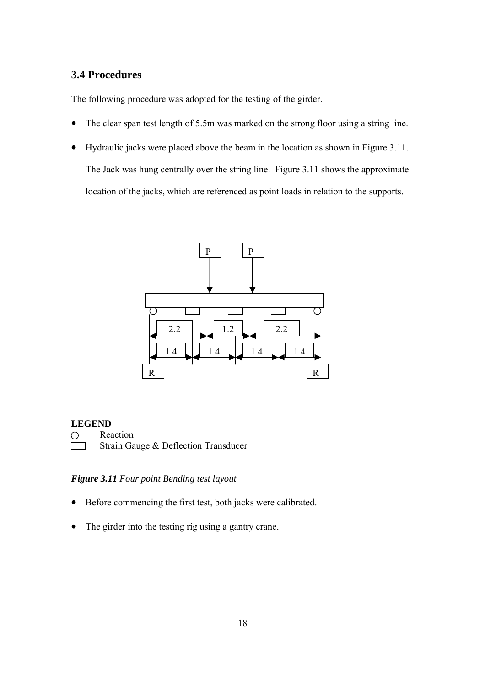#### **3.4 Procedures**

The following procedure was adopted for the testing of the girder.

- The clear span test length of 5.5m was marked on the strong floor using a string line.
- Hydraulic jacks were placed above the beam in the location as shown in Figure 3.11. The Jack was hung centrally over the string line. Figure 3.11 shows the approximate location of the jacks, which are referenced as point loads in relation to the supports.



#### **LEGEND**

O Reaction

Strain Gauge & Deflection Transducer

#### *Figure 3.11 Four point Bending test layout*

- Before commencing the first test, both jacks were calibrated.
- The girder into the testing rig using a gantry crane.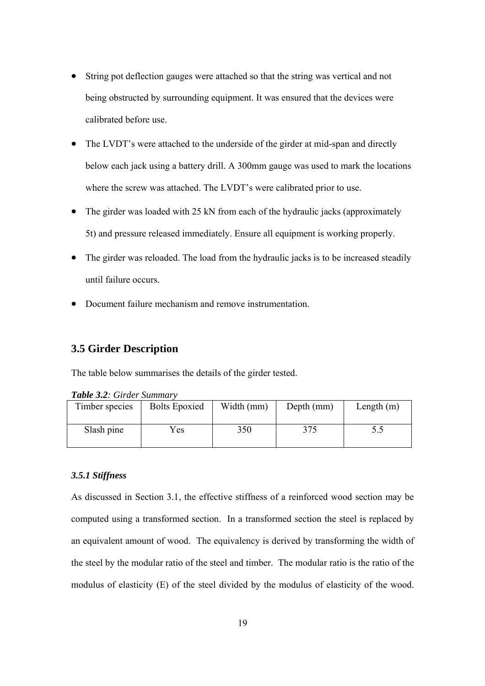- String pot deflection gauges were attached so that the string was vertical and not being obstructed by surrounding equipment. It was ensured that the devices were calibrated before use.
- The LVDT's were attached to the underside of the girder at mid-span and directly below each jack using a battery drill. A 300mm gauge was used to mark the locations where the screw was attached. The LVDT's were calibrated prior to use.
- The girder was loaded with 25 kN from each of the hydraulic jacks (approximately 5t) and pressure released immediately. Ensure all equipment is working properly.
- The girder was reloaded. The load from the hydraulic jacks is to be increased steadily until failure occurs.
- Document failure mechanism and remove instrumentation.

#### **3.5 Girder Description**

The table below summarises the details of the girder tested.

| Timber species | <b>Bolts Epoxied</b> | Width (mm) | Depth (mm) | Length $(m)$ |  |
|----------------|----------------------|------------|------------|--------------|--|
| Slash pine     | Yes                  | 350        | 375        |              |  |

#### *Table 3.2: Girder Summary*

#### *3.5.1 Stiffness*

As discussed in Section 3.1, the effective stiffness of a reinforced wood section may be computed using a transformed section. In a transformed section the steel is replaced by an equivalent amount of wood. The equivalency is derived by transforming the width of the steel by the modular ratio of the steel and timber. The modular ratio is the ratio of the modulus of elasticity (E) of the steel divided by the modulus of elasticity of the wood.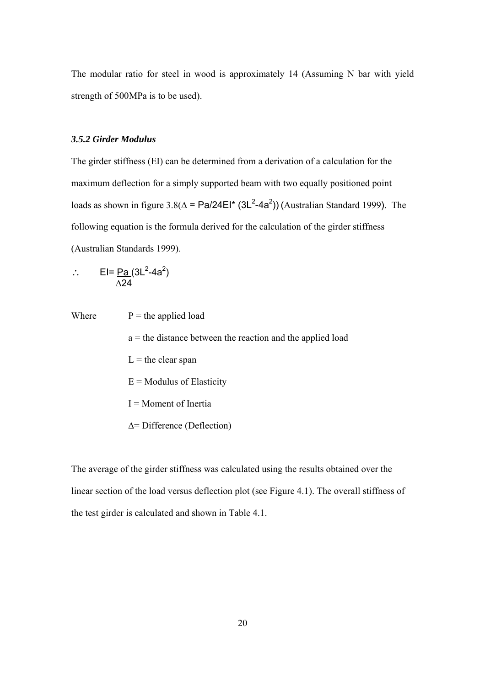The modular ratio for steel in wood is approximately 14 (Assuming N bar with yield strength of 500MPa is to be used).

#### *3.5.2 Girder Modulus*

The girder stiffness (EI) can be determined from a derivation of a calculation for the maximum deflection for a simply supported beam with two equally positioned point loads as shown in figure  $3.8(\Delta = \text{Pa}/24\text{El}^*(3\text{L}^2 - 4a^2))$  (Australian Standard 1999). The following equation is the formula derived for the calculation of the girder stiffness (Australian Standards 1999).

∴ EI=  $\text{Pa} (3\text{L}^2 - 4a^2)$ ∆24

Where  $P =$  the applied load  $a =$  the distance between the reaction and the applied load  $L =$  the clear span  $E =$  Modulus of Elasticity I = Moment of Inertia ∆= Difference (Deflection)

The average of the girder stiffness was calculated using the results obtained over the linear section of the load versus deflection plot (see Figure 4.1). The overall stiffness of the test girder is calculated and shown in Table 4.1.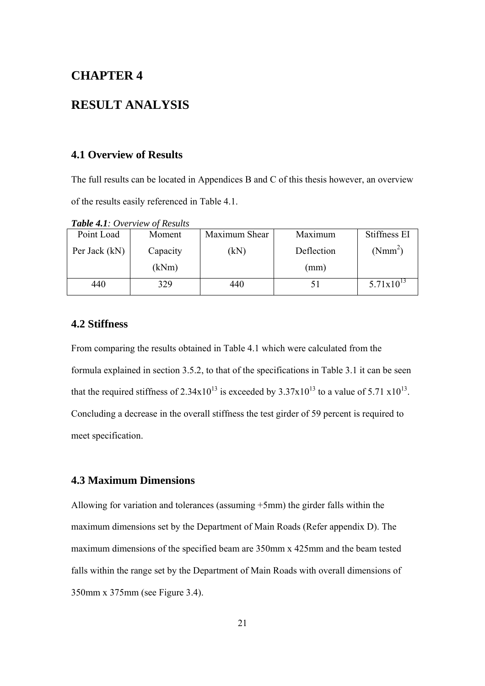## **CHAPTER 4**

## **RESULT ANALYSIS**

#### **4.1 Overview of Results**

The full results can be located in Appendices B and C of this thesis however, an overview of the results easily referenced in Table 4.1.

*Table 4.1: Overview of Results*

| Point Load    | Moment   | Maximum Shear | Maximum    | Stiffness EI        |
|---------------|----------|---------------|------------|---------------------|
| Per Jack (kN) | Capacity | kN)           | Deflection | (Nmm <sup>2</sup> ) |
|               | (kNm)    |               | (mm)       |                     |
| 440           | 329      | 440           |            | $5.71x10^{13}$      |

#### **4.2 Stiffness**

From comparing the results obtained in Table 4.1 which were calculated from the formula explained in section 3.5.2, to that of the specifications in Table 3.1 it can be seen that the required stiffness of  $2.34x10^{13}$  is exceeded by  $3.37x10^{13}$  to a value of  $5.71 \times 10^{13}$ . Concluding a decrease in the overall stiffness the test girder of 59 percent is required to meet specification.

#### **4.3 Maximum Dimensions**

Allowing for variation and tolerances (assuming +5mm) the girder falls within the maximum dimensions set by the Department of Main Roads (Refer appendix D). The maximum dimensions of the specified beam are 350mm x 425mm and the beam tested falls within the range set by the Department of Main Roads with overall dimensions of 350mm x 375mm (see Figure 3.4).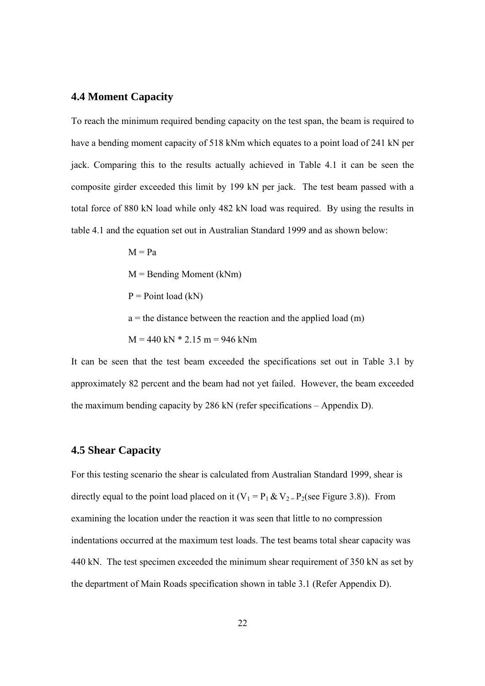#### **4.4 Moment Capacity**

To reach the minimum required bending capacity on the test span, the beam is required to have a bending moment capacity of 518 kNm which equates to a point load of 241 kN per jack. Comparing this to the results actually achieved in Table 4.1 it can be seen the composite girder exceeded this limit by 199 kN per jack. The test beam passed with a total force of 880 kN load while only 482 kN load was required. By using the results in table 4.1 and the equation set out in Australian Standard 1999 and as shown below:

> $M = Pa$  $M =$  Bending Moment (kNm)  $P = Point load (kN)$  $a =$  the distance between the reaction and the applied load (m)  $M = 440$  kN  $*$  2.15 m = 946 kNm

It can be seen that the test beam exceeded the specifications set out in Table 3.1 by approximately 82 percent and the beam had not yet failed. However, the beam exceeded the maximum bending capacity by 286 kN (refer specifications – Appendix D).

#### **4.5 Shear Capacity**

For this testing scenario the shear is calculated from Australian Standard 1999, shear is directly equal to the point load placed on it  $(V_1 = P_1 \& V_2 = P_2$ (see Figure 3.8)). From examining the location under the reaction it was seen that little to no compression indentations occurred at the maximum test loads. The test beams total shear capacity was 440 kN. The test specimen exceeded the minimum shear requirement of 350 kN as set by the department of Main Roads specification shown in table 3.1 (Refer Appendix D).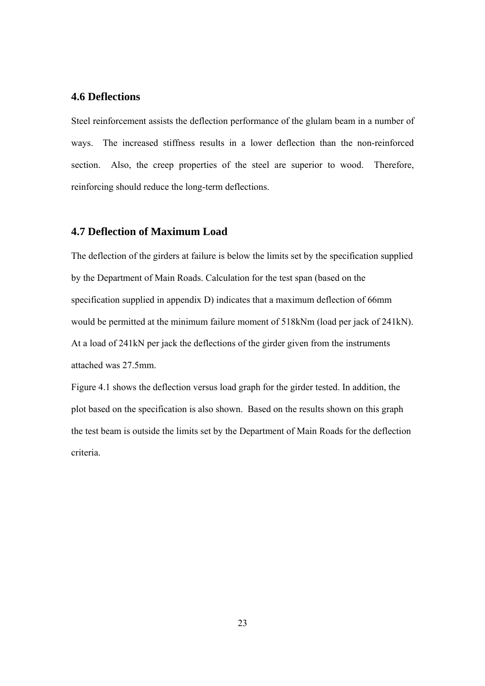#### **4.6 Deflections**

Steel reinforcement assists the deflection performance of the glulam beam in a number of ways. The increased stiffness results in a lower deflection than the non-reinforced section. Also, the creep properties of the steel are superior to wood. Therefore, reinforcing should reduce the long-term deflections.

#### **4.7 Deflection of Maximum Load**

The deflection of the girders at failure is below the limits set by the specification supplied by the Department of Main Roads. Calculation for the test span (based on the specification supplied in appendix D) indicates that a maximum deflection of 66mm would be permitted at the minimum failure moment of 518kNm (load per jack of 241kN). At a load of 241kN per jack the deflections of the girder given from the instruments attached was 27.5mm.

Figure 4.1 shows the deflection versus load graph for the girder tested. In addition, the plot based on the specification is also shown. Based on the results shown on this graph the test beam is outside the limits set by the Department of Main Roads for the deflection criteria.

23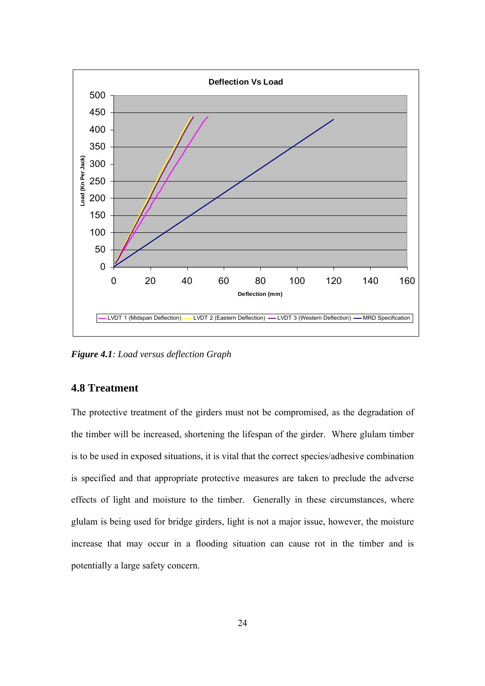

*Figure 4.1: Load versus deflection Graph* 

#### **4.8 Treatment**

The protective treatment of the girders must not be compromised, as the degradation of the timber will be increased, shortening the lifespan of the girder. Where glulam timber is to be used in exposed situations, it is vital that the correct species/adhesive combination is specified and that appropriate protective measures are taken to preclude the adverse effects of light and moisture to the timber. Generally in these circumstances, where glulam is being used for bridge girders, light is not a major issue, however, the moisture increase that may occur in a flooding situation can cause rot in the timber and is potentially a large safety concern.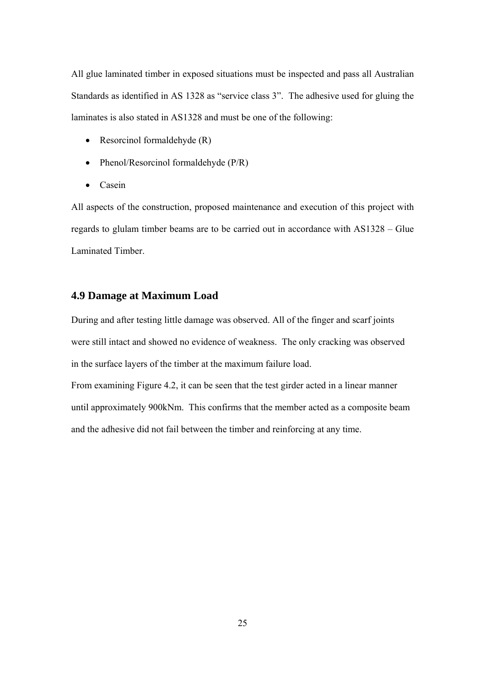All glue laminated timber in exposed situations must be inspected and pass all Australian Standards as identified in AS 1328 as "service class 3". The adhesive used for gluing the laminates is also stated in AS1328 and must be one of the following:

- Resorcinol formaldehyde (R)
- Phenol/Resorcinol formaldehyde (P/R)
- Casein

All aspects of the construction, proposed maintenance and execution of this project with regards to glulam timber beams are to be carried out in accordance with AS1328 – Glue Laminated Timber.

#### **4.9 Damage at Maximum Load**

During and after testing little damage was observed. All of the finger and scarf joints were still intact and showed no evidence of weakness. The only cracking was observed in the surface layers of the timber at the maximum failure load.

From examining Figure 4.2, it can be seen that the test girder acted in a linear manner until approximately 900kNm. This confirms that the member acted as a composite beam and the adhesive did not fail between the timber and reinforcing at any time.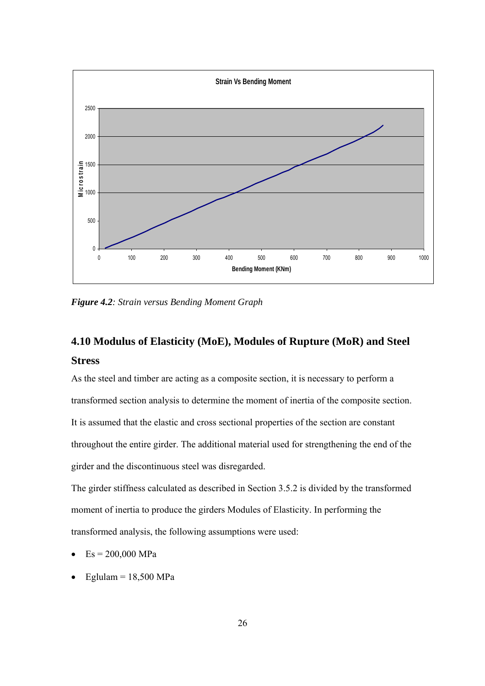

*Figure 4.2: Strain versus Bending Moment Graph* 

## **4.10 Modulus of Elasticity (MoE), Modules of Rupture (MoR) and Steel Stress**

As the steel and timber are acting as a composite section, it is necessary to perform a transformed section analysis to determine the moment of inertia of the composite section. It is assumed that the elastic and cross sectional properties of the section are constant throughout the entire girder. The additional material used for strengthening the end of the girder and the discontinuous steel was disregarded.

The girder stiffness calculated as described in Section 3.5.2 is divided by the transformed moment of inertia to produce the girders Modules of Elasticity. In performing the transformed analysis, the following assumptions were used:

- $Es = 200,000 MPa$
- Eglulam =  $18,500$  MPa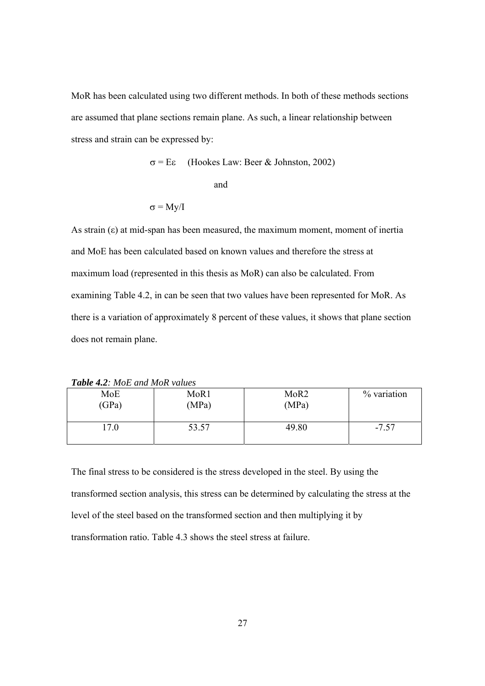MoR has been calculated using two different methods. In both of these methods sections are assumed that plane sections remain plane. As such, a linear relationship between stress and strain can be expressed by:

$$
\sigma = E\epsilon
$$
 (Hookes Law: Beer & Johnston, 2002)

and

$$
\sigma = My/I
$$

As strain  $(\epsilon)$  at mid-span has been measured, the maximum moment, moment of inertia and MoE has been calculated based on known values and therefore the stress at maximum load (represented in this thesis as MoR) can also be calculated. From examining Table 4.2, in can be seen that two values have been represented for MoR. As there is a variation of approximately 8 percent of these values, it shows that plane section does not remain plane.

| MoE<br>(GPa) | MoR <sub>1</sub><br>(MPa) | MoR <sub>2</sub><br>(MPa) | % variation |  |  |
|--------------|---------------------------|---------------------------|-------------|--|--|
| 17.0         | 53.57                     | 49.80                     | $-7.57$     |  |  |

The final stress to be considered is the stress developed in the steel. By using the transformed section analysis, this stress can be determined by calculating the stress at the level of the steel based on the transformed section and then multiplying it by transformation ratio. Table 4.3 shows the steel stress at failure.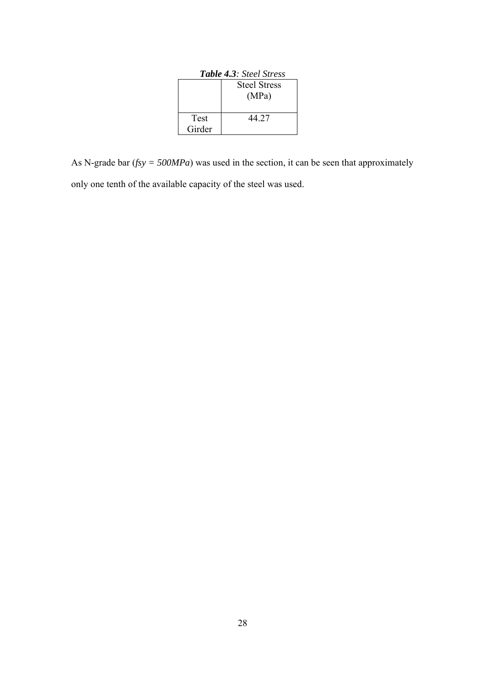| <b>Table 4.3:</b> Steel Stress |                     |  |
|--------------------------------|---------------------|--|
|                                | <b>Steel Stress</b> |  |
|                                | (MPa)               |  |
|                                |                     |  |
| Test                           | 44 27               |  |
| Girder                         |                     |  |

As N-grade bar (*fsy = 500MPa*) was used in the section, it can be seen that approximately only one tenth of the available capacity of the steel was used.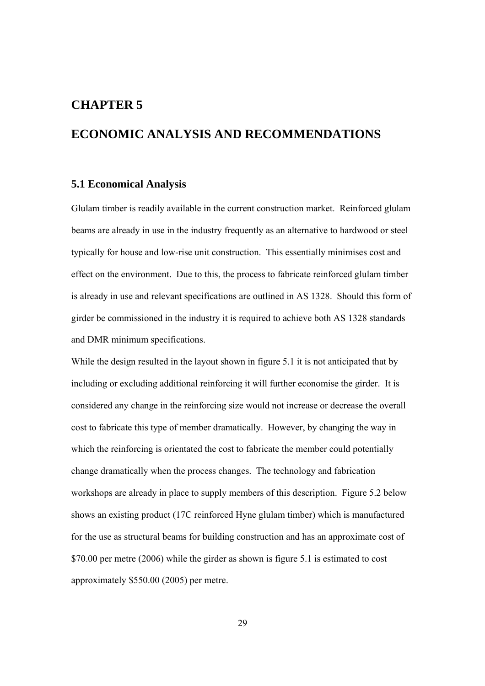### **CHAPTER 5**

## **ECONOMIC ANALYSIS AND RECOMMENDATIONS**

#### **5.1 Economical Analysis**

Glulam timber is readily available in the current construction market. Reinforced glulam beams are already in use in the industry frequently as an alternative to hardwood or steel typically for house and low-rise unit construction. This essentially minimises cost and effect on the environment. Due to this, the process to fabricate reinforced glulam timber is already in use and relevant specifications are outlined in AS 1328. Should this form of girder be commissioned in the industry it is required to achieve both AS 1328 standards and DMR minimum specifications.

While the design resulted in the layout shown in figure 5.1 it is not anticipated that by including or excluding additional reinforcing it will further economise the girder. It is considered any change in the reinforcing size would not increase or decrease the overall cost to fabricate this type of member dramatically. However, by changing the way in which the reinforcing is orientated the cost to fabricate the member could potentially change dramatically when the process changes. The technology and fabrication workshops are already in place to supply members of this description. Figure 5.2 below shows an existing product (17C reinforced Hyne glulam timber) which is manufactured for the use as structural beams for building construction and has an approximate cost of \$70.00 per metre (2006) while the girder as shown is figure 5.1 is estimated to cost approximately \$550.00 (2005) per metre.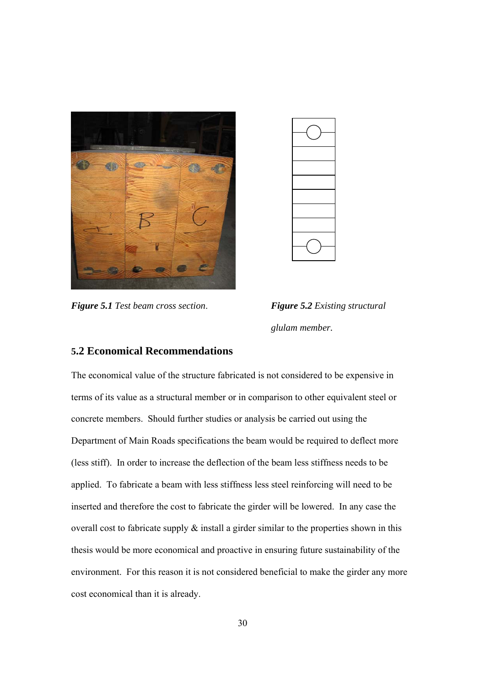

*Figure 5.1 Test beam cross section*. *Figure 5.2 Existing structural* 



*glulam member.*

#### **5.2 Economical Recommendations**

The economical value of the structure fabricated is not considered to be expensive in terms of its value as a structural member or in comparison to other equivalent steel or concrete members. Should further studies or analysis be carried out using the Department of Main Roads specifications the beam would be required to deflect more (less stiff). In order to increase the deflection of the beam less stiffness needs to be applied. To fabricate a beam with less stiffness less steel reinforcing will need to be inserted and therefore the cost to fabricate the girder will be lowered. In any case the overall cost to fabricate supply  $\&$  install a girder similar to the properties shown in this thesis would be more economical and proactive in ensuring future sustainability of the environment. For this reason it is not considered beneficial to make the girder any more cost economical than it is already.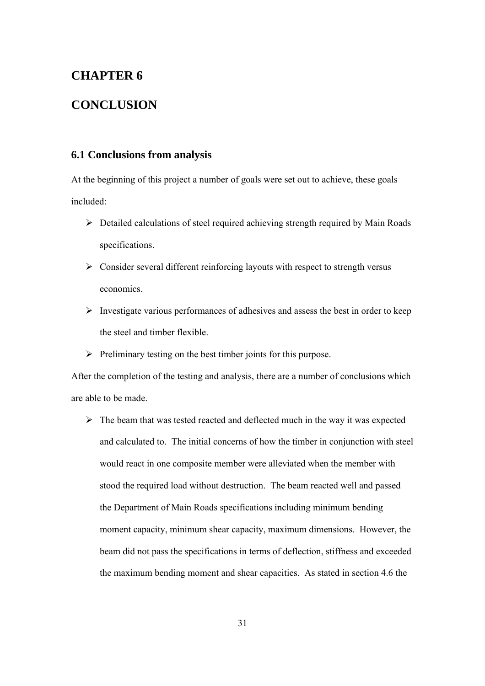## **CHAPTER 6**

## **CONCLUSION**

#### **6.1 Conclusions from analysis**

At the beginning of this project a number of goals were set out to achieve, these goals included:

- ¾ Detailed calculations of steel required achieving strength required by Main Roads specifications.
- $\triangleright$  Consider several different reinforcing layouts with respect to strength versus economics.
- $\triangleright$  Investigate various performances of adhesives and assess the best in order to keep the steel and timber flexible.
- $\triangleright$  Preliminary testing on the best timber joints for this purpose.

After the completion of the testing and analysis, there are a number of conclusions which are able to be made.

 $\triangleright$  The beam that was tested reacted and deflected much in the way it was expected and calculated to. The initial concerns of how the timber in conjunction with steel would react in one composite member were alleviated when the member with stood the required load without destruction. The beam reacted well and passed the Department of Main Roads specifications including minimum bending moment capacity, minimum shear capacity, maximum dimensions. However, the beam did not pass the specifications in terms of deflection, stiffness and exceeded the maximum bending moment and shear capacities. As stated in section 4.6 the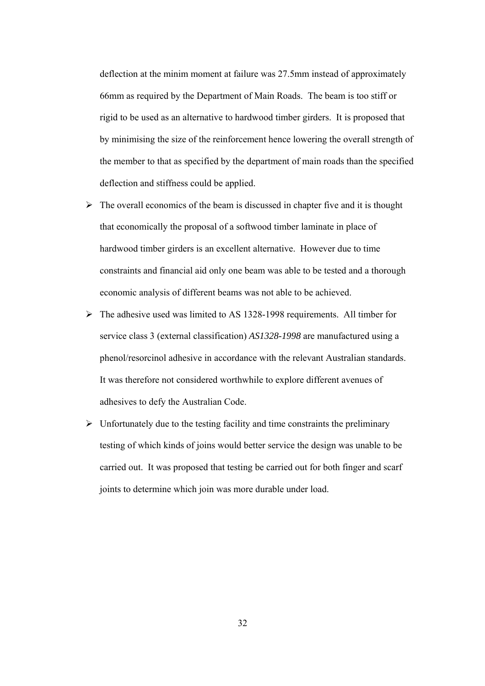deflection at the minim moment at failure was 27.5mm instead of approximately 66mm as required by the Department of Main Roads. The beam is too stiff or rigid to be used as an alternative to hardwood timber girders. It is proposed that by minimising the size of the reinforcement hence lowering the overall strength of the member to that as specified by the department of main roads than the specified deflection and stiffness could be applied.

- $\triangleright$  The overall economics of the beam is discussed in chapter five and it is thought that economically the proposal of a softwood timber laminate in place of hardwood timber girders is an excellent alternative. However due to time constraints and financial aid only one beam was able to be tested and a thorough economic analysis of different beams was not able to be achieved.
- ¾ The adhesive used was limited to AS 1328-1998 requirements. All timber for service class 3 (external classification) *AS1328-1998* are manufactured using a phenol/resorcinol adhesive in accordance with the relevant Australian standards. It was therefore not considered worthwhile to explore different avenues of adhesives to defy the Australian Code.
- $\triangleright$  Unfortunately due to the testing facility and time constraints the preliminary testing of which kinds of joins would better service the design was unable to be carried out. It was proposed that testing be carried out for both finger and scarf joints to determine which join was more durable under load.

32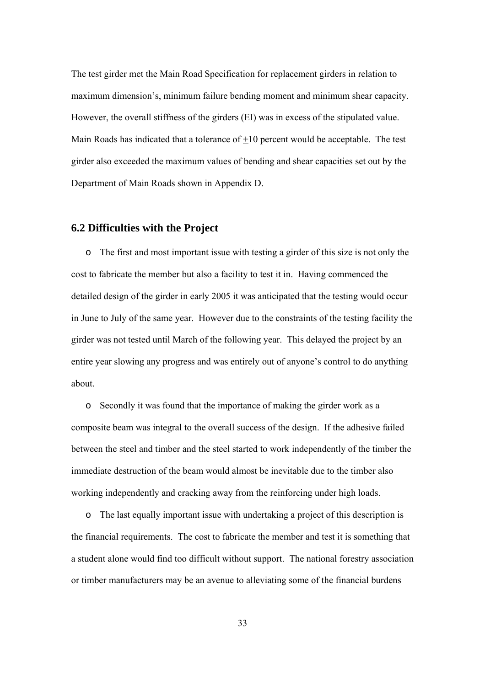The test girder met the Main Road Specification for replacement girders in relation to maximum dimension's, minimum failure bending moment and minimum shear capacity. However, the overall stiffness of the girders (EI) was in excess of the stipulated value. Main Roads has indicated that a tolerance of +10 percent would be acceptable. The test girder also exceeded the maximum values of bending and shear capacities set out by the Department of Main Roads shown in Appendix D.

#### **6.2 Difficulties with the Project**

o The first and most important issue with testing a girder of this size is not only the cost to fabricate the member but also a facility to test it in. Having commenced the detailed design of the girder in early 2005 it was anticipated that the testing would occur in June to July of the same year. However due to the constraints of the testing facility the girder was not tested until March of the following year. This delayed the project by an entire year slowing any progress and was entirely out of anyone's control to do anything about.

o Secondly it was found that the importance of making the girder work as a composite beam was integral to the overall success of the design. If the adhesive failed between the steel and timber and the steel started to work independently of the timber the immediate destruction of the beam would almost be inevitable due to the timber also working independently and cracking away from the reinforcing under high loads.

o The last equally important issue with undertaking a project of this description is the financial requirements. The cost to fabricate the member and test it is something that a student alone would find too difficult without support. The national forestry association or timber manufacturers may be an avenue to alleviating some of the financial burdens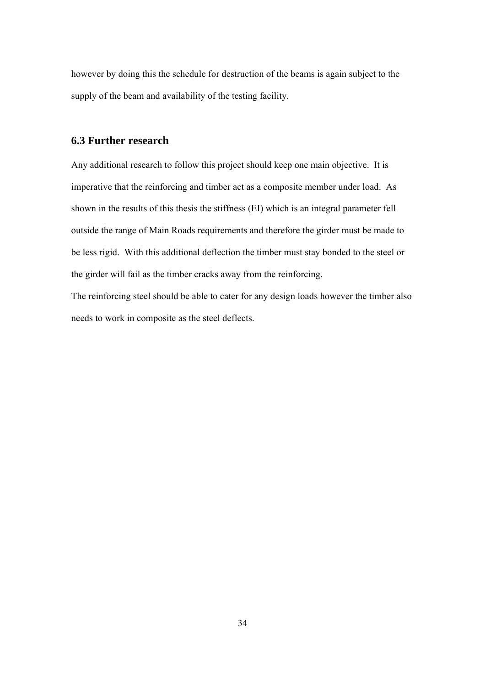however by doing this the schedule for destruction of the beams is again subject to the supply of the beam and availability of the testing facility.

#### **6.3 Further research**

Any additional research to follow this project should keep one main objective. It is imperative that the reinforcing and timber act as a composite member under load. As shown in the results of this thesis the stiffness (EI) which is an integral parameter fell outside the range of Main Roads requirements and therefore the girder must be made to be less rigid. With this additional deflection the timber must stay bonded to the steel or the girder will fail as the timber cracks away from the reinforcing.

The reinforcing steel should be able to cater for any design loads however the timber also needs to work in composite as the steel deflects.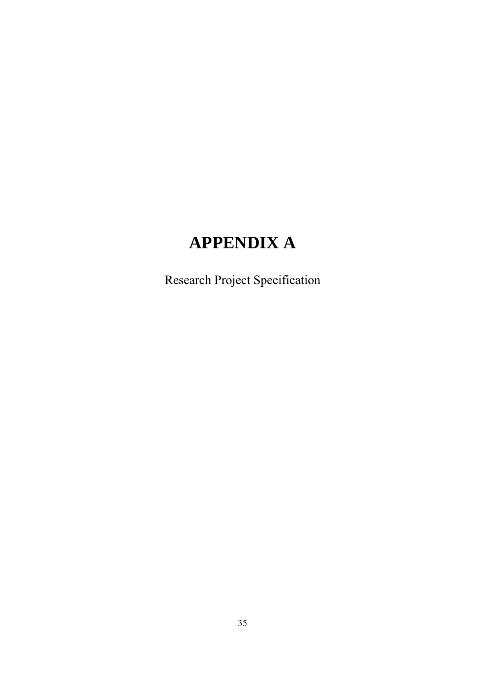# **APPENDIX A**

Research Project Specification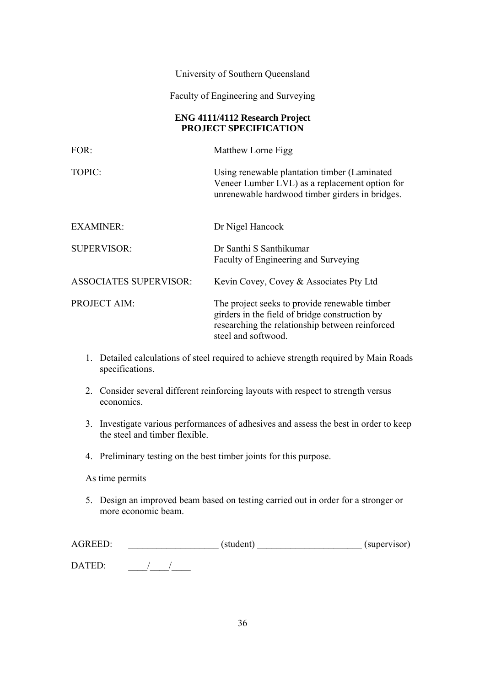#### University of Southern Queensland

Faculty of Engineering and Surveying

#### **ENG 4111/4112 Research Project PROJECT SPECIFICATION**

| $FOR$ :                       | Matthew Lorne Figg                                                                                                                                                        |  |
|-------------------------------|---------------------------------------------------------------------------------------------------------------------------------------------------------------------------|--|
| TOPIC:                        | Using renewable plantation timber (Laminated<br>Veneer Lumber LVL) as a replacement option for<br>unrenewable hardwood timber girders in bridges.                         |  |
| <b>EXAMINER:</b>              | Dr Nigel Hancock                                                                                                                                                          |  |
| <b>SUPERVISOR:</b>            | Dr Santhi S Santhikumar<br>Faculty of Engineering and Surveying                                                                                                           |  |
| <b>ASSOCIATES SUPERVISOR:</b> | Kevin Covey, Covey & Associates Pty Ltd                                                                                                                                   |  |
| <b>PROJECT AIM:</b>           | The project seeks to provide renewable timber<br>girders in the field of bridge construction by<br>researching the relationship between reinforced<br>steel and softwood. |  |

- 1. Detailed calculations of steel required to achieve strength required by Main Roads specifications.
- 2. Consider several different reinforcing layouts with respect to strength versus economics.
- 3. Investigate various performances of adhesives and assess the best in order to keep the steel and timber flexible.
- 4. Preliminary testing on the best timber joints for this purpose.

#### As time permits

5. Design an improved beam based on testing carried out in order for a stronger or more economic beam.

| <b>AGREED:</b> | (student) | (supervisor) |
|----------------|-----------|--------------|
| DATED:         |           |              |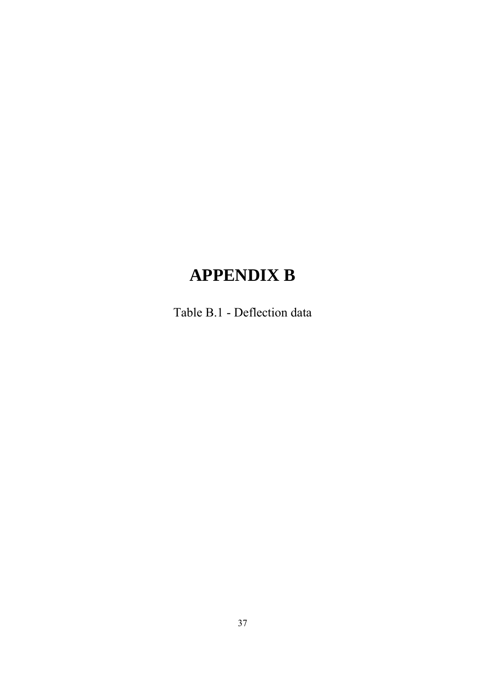# **APPENDIX B**

Table B.1 - Deflection data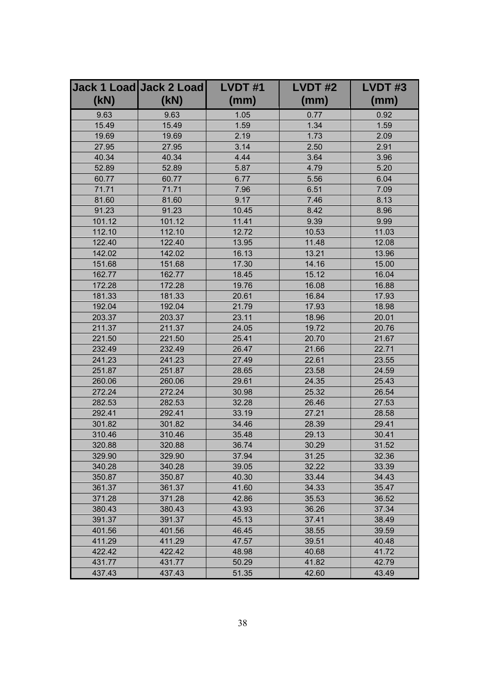|        | Jack 1 Load Jack 2 Load | LVDT#1 | LVDT#2 | LVDT#3 |
|--------|-------------------------|--------|--------|--------|
| (KN)   | (kN)                    | (mm)   | (mm)   | (mm)   |
| 9.63   | 9.63                    | 1.05   | 0.77   | 0.92   |
| 15.49  | 15.49                   | 1.59   | 1.34   | 1.59   |
| 19.69  | 19.69                   | 2.19   | 1.73   | 2.09   |
| 27.95  | 27.95                   | 3.14   | 2.50   | 2.91   |
| 40.34  | 40.34                   | 4.44   | 3.64   | 3.96   |
| 52.89  | 52.89                   | 5.87   | 4.79   | 5.20   |
| 60.77  | 60.77                   | 6.77   | 5.56   | 6.04   |
| 71.71  | 71.71                   | 7.96   | 6.51   | 7.09   |
| 81.60  | 81.60                   | 9.17   | 7.46   | 8.13   |
| 91.23  | 91.23                   | 10.45  | 8.42   | 8.96   |
| 101.12 | 101.12                  | 11.41  | 9.39   | 9.99   |
| 112.10 | 112.10                  | 12.72  | 10.53  | 11.03  |
| 122.40 | 122.40                  | 13.95  | 11.48  | 12.08  |
| 142.02 | 142.02                  | 16.13  | 13.21  | 13.96  |
| 151.68 | 151.68                  | 17.30  | 14.16  | 15.00  |
| 162.77 | 162.77                  | 18.45  | 15.12  | 16.04  |
| 172.28 | 172.28                  | 19.76  | 16.08  | 16.88  |
| 181.33 | 181.33                  | 20.61  | 16.84  | 17.93  |
| 192.04 | 192.04                  | 21.79  | 17.93  | 18.98  |
| 203.37 | 203.37                  | 23.11  | 18.96  | 20.01  |
| 211.37 | 211.37                  | 24.05  | 19.72  | 20.76  |
| 221.50 | 221.50                  | 25.41  | 20.70  | 21.67  |
| 232.49 | 232.49                  | 26.47  | 21.66  | 22.71  |
| 241.23 | 241.23                  | 27.49  | 22.61  | 23.55  |
| 251.87 | 251.87                  | 28.65  | 23.58  | 24.59  |
| 260.06 | 260.06                  | 29.61  | 24.35  | 25.43  |
| 272.24 | 272.24                  | 30.98  | 25.32  | 26.54  |
| 282.53 | 282.53                  | 32.28  | 26.46  | 27.53  |
| 292.41 | 292.41                  | 33.19  | 27.21  | 28.58  |
| 301.82 | 301.82                  | 34.46  | 28.39  | 29.41  |
| 310.46 | 310.46                  | 35.48  | 29.13  | 30.41  |
| 320.88 | 320.88                  | 36.74  | 30.29  | 31.52  |
| 329.90 | 329.90                  | 37.94  | 31.25  | 32.36  |
| 340.28 | 340.28                  | 39.05  | 32.22  | 33.39  |
| 350.87 | 350.87                  | 40.30  | 33.44  | 34.43  |
| 361.37 | 361.37                  | 41.60  | 34.33  | 35.47  |
| 371.28 | 371.28                  | 42.86  | 35.53  | 36.52  |
| 380.43 | 380.43                  | 43.93  | 36.26  | 37.34  |
| 391.37 | 391.37                  | 45.13  | 37.41  | 38.49  |
| 401.56 | 401.56                  | 46.45  | 38.55  | 39.59  |
| 411.29 | 411.29                  | 47.57  | 39.51  | 40.48  |
| 422.42 | 422.42                  | 48.98  | 40.68  | 41.72  |
| 431.77 | 431.77                  | 50.29  | 41.82  | 42.79  |
| 437.43 | 437.43                  | 51.35  | 42.60  | 43.49  |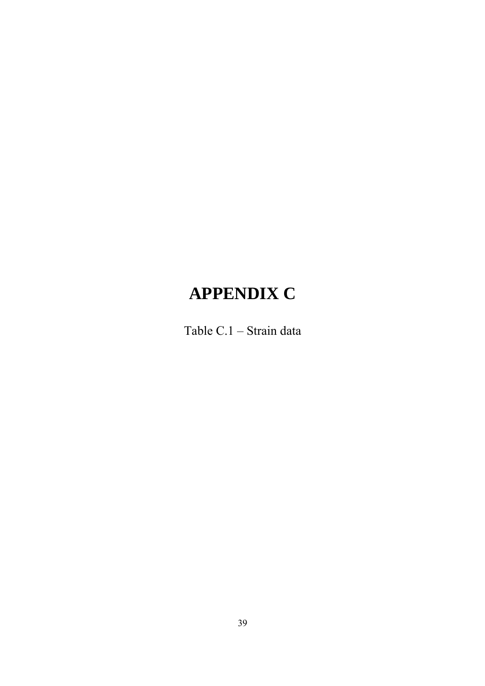# **APPENDIX C**

Table C.1 – Strain data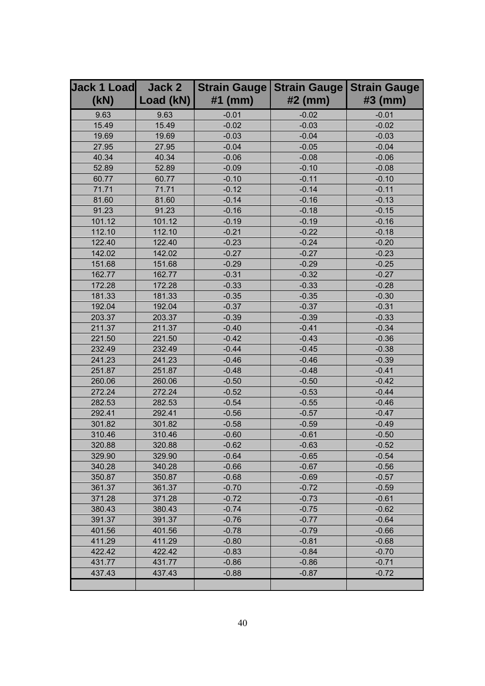| <b>Jack 1 Load</b> | Jack 2    | <b>Strain Gauge</b> | <b>Strain Gauge</b> | <b>Strain Gauge</b> |
|--------------------|-----------|---------------------|---------------------|---------------------|
| (kN)               | Load (kN) | $#1$ (mm)           | $#2$ (mm)           | #3 (mm)             |
| 9.63               | 9.63      | $-0.01$             | $-0.02$             | $-0.01$             |
| 15.49              | 15.49     | $-0.02$             | $-0.03$             | $-0.02$             |
| 19.69              | 19.69     | $-0.03$             | $-0.04$             | $-0.03$             |
| 27.95              | 27.95     | $-0.04$             | $-0.05$             | $-0.04$             |
| 40.34              | 40.34     | $-0.06$             | $-0.08$             | $-0.06$             |
| 52.89              | 52.89     | $-0.09$             | $-0.10$             | $-0.08$             |
| 60.77              | 60.77     | $-0.10$             | $-0.11$             | $-0.10$             |
| 71.71              | 71.71     | $-0.12$             | $-0.14$             | $-0.11$             |
| 81.60              | 81.60     | $-0.14$             | $-0.16$             | $-0.13$             |
| 91.23              | 91.23     | $-0.16$             | $-0.18$             | $-0.15$             |
| 101.12             | 101.12    | $-0.19$             | $-0.19$             | $-0.16$             |
| 112.10             | 112.10    | $-0.21$             | $-0.22$             | $-0.18$             |
| 122.40             | 122.40    | $-0.23$             | $-0.24$             | $-0.20$             |
| 142.02             | 142.02    | $-0.27$             | $-0.27$             | $-0.23$             |
| 151.68             | 151.68    | $-0.29$             | $-0.29$             | $-0.25$             |
| 162.77             | 162.77    | $-0.31$             | $-0.32$             | $-0.27$             |
| 172.28             | 172.28    | $-0.33$             | $-0.33$             | $-0.28$             |
| 181.33             | 181.33    | $-0.35$             | $-0.35$             | $-0.30$             |
| 192.04             | 192.04    | $-0.37$             | $-0.37$             | $-0.31$             |
| 203.37             | 203.37    | $-0.39$             | $-0.39$             | $-0.33$             |
| 211.37             | 211.37    | $-0.40$             | $-0.41$             | $-0.34$             |
| 221.50             | 221.50    | $-0.42$             | $-0.43$             | $-0.36$             |
| 232.49             | 232.49    | $-0.44$             | $-0.45$             | $-0.38$             |
| 241.23             | 241.23    | $-0.46$             | $-0.46$             | $-0.39$             |
| 251.87             | 251.87    | $-0.48$             | $-0.48$             | $-0.41$             |
| 260.06             | 260.06    | $-0.50$             | $-0.50$             | $-0.42$             |
| 272.24             | 272.24    | $-0.52$             | $-0.53$             | $-0.44$             |
| 282.53             | 282.53    | $-0.54$             | $-0.55$             | $-0.46$             |
| 292.41             | 292.41    | $-0.56$             | $-0.57$             | $-0.47$             |
| 301.82             | 301.82    | $-0.58$             | $-0.59$             | $-0.49$             |
| 310.46             | 310.46    | $-0.60$             | $-0.61$             | $-0.50$             |
| 320.88             | 320.88    | $-0.62$             | $-0.63$             | $-0.52$             |
| 329.90             | 329.90    | $-0.64$             | $-0.65$             | $-0.54$             |
| 340.28             | 340.28    | $-0.66$             | $-0.67$             | $-0.56$             |
| 350.87             | 350.87    | $-0.68$             | $-0.69$             | $-0.57$             |
| 361.37             | 361.37    | $-0.70$             | $-0.72$             | $-0.59$             |
| 371.28             | 371.28    | $-0.72$             | $-0.73$             | $-0.61$             |
| 380.43             | 380.43    | $-0.74$             | $-0.75$             | $-0.62$             |
| 391.37             | 391.37    | $-0.76$             | $-0.77$             | $-0.64$             |
| 401.56             | 401.56    | $-0.78$             | $-0.79$             | $-0.66$             |
| 411.29             | 411.29    | $-0.80$             | $-0.81$             | $-0.68$             |
| 422.42             | 422.42    | $-0.83$             | $-0.84$             | $-0.70$             |
| 431.77             | 431.77    | $-0.86$             | $-0.86$             | $-0.71$             |
| 437.43             | 437.43    | $-0.88$             | $-0.87$             | $-0.72$             |
|                    |           |                     |                     |                     |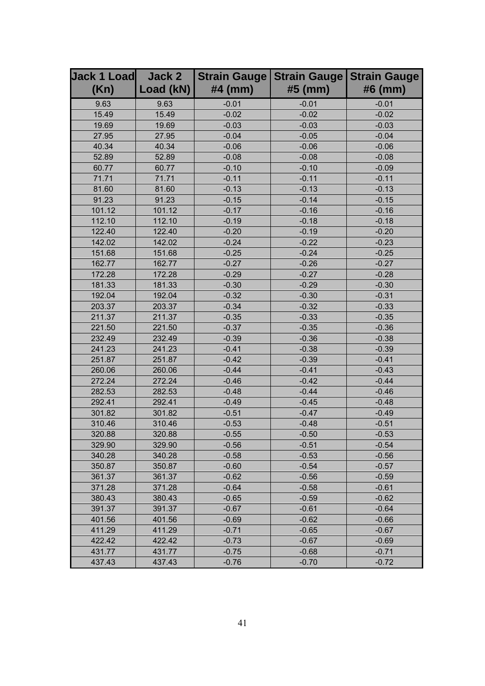| <b>Jack 1 Load</b> | Jack 2    | <b>Strain Gauge</b> | <b>Strain Gauge</b> | <b>Strain Gauge</b> |
|--------------------|-----------|---------------------|---------------------|---------------------|
| (Kn)               | Load (kN) | $#4$ (mm)           | #5 (mm)             | #6 (mm)             |
| 9.63               | 9.63      | $-0.01$             | $-0.01$             | $-0.01$             |
| 15.49              | 15.49     | $-0.02$             | $-0.02$             | $-0.02$             |
| 19.69              | 19.69     | $-0.03$             | $-0.03$             | $-0.03$             |
| 27.95              | 27.95     | $-0.04$             | $-0.05$             | $-0.04$             |
| 40.34              | 40.34     | $-0.06$             | $-0.06$             | $-0.06$             |
| 52.89              | 52.89     | $-0.08$             | $-0.08$             | $-0.08$             |
| 60.77              | 60.77     | $-0.10$             | $-0.10$             | $-0.09$             |
| 71.71              | 71.71     | $-0.11$             | $-0.11$             | $-0.11$             |
| 81.60              | 81.60     | $-0.13$             | $-0.13$             | $-0.13$             |
| 91.23              | 91.23     | $-0.15$             | $-0.14$             | $-0.15$             |
| 101.12             | 101.12    | $-0.17$             | $-0.16$             | $-0.16$             |
| 112.10             | 112.10    | $-0.19$             | $-0.18$             | $-0.18$             |
| 122.40             | 122.40    | $-0.20$             | $-0.19$             | $-0.20$             |
| 142.02             | 142.02    | $-0.24$             | $-0.22$             | $-0.23$             |
| 151.68             | 151.68    | $-0.25$             | $-0.24$             | $-0.25$             |
| 162.77             | 162.77    | $-0.27$             | $-0.26$             | $-0.27$             |
| 172.28             | 172.28    | $-0.29$             | $-0.27$             | $-0.28$             |
| 181.33             | 181.33    | $-0.30$             | $-0.29$             | $-0.30$             |
| 192.04             | 192.04    | $-0.32$             | $-0.30$             | $-0.31$             |
| 203.37             | 203.37    | $-0.34$             | $-0.32$             | $-0.33$             |
| 211.37             | 211.37    | $-0.35$             | $-0.33$             | $-0.35$             |
| 221.50             | 221.50    | $-0.37$             | $-0.35$             | $-0.36$             |
| 232.49             | 232.49    | $-0.39$             | $-0.36$             | $-0.38$             |
| 241.23             | 241.23    | $-0.41$             | $-0.38$             | $-0.39$             |
| 251.87             | 251.87    | $-0.42$             | $-0.39$             | $-0.41$             |
| 260.06             | 260.06    | $-0.44$             | $-0.41$             | $-0.43$             |
| 272.24             | 272.24    | $-0.46$             | $-0.42$             | $-0.44$             |
| 282.53             | 282.53    | $-0.48$             | $-0.44$             | $-0.46$             |
| 292.41             | 292.41    | $-0.49$             | $-0.45$             | $-0.48$             |
| 301.82             | 301.82    | $-0.51$             | $-0.47$             | $-0.49$             |
| 310.46             | 310.46    | $-0.53$             | $-0.48$             | $-0.51$             |
| 320.88             | 320.88    | $-0.55$             | $-0.50$             | $-0.53$             |
| 329.90             | 329.90    | $-0.56$             | $-0.51$             | $-0.54$             |
| 340.28             | 340.28    | $-0.58$             | $-0.53$             | $-0.56$             |
| 350.87             | 350.87    | $-0.60$             | $-0.54$             | $-0.57$             |
| 361.37             | 361.37    | $-0.62$             | $-0.56$             | $-0.59$             |
| 371.28             | 371.28    | $-0.64$             | $-0.58$             | $-0.61$             |
| 380.43             | 380.43    | $-0.65$             | $-0.59$             | $-0.62$             |
| 391.37             | 391.37    | $-0.67$             | $-0.61$             | $-0.64$             |
| 401.56             | 401.56    | $-0.69$             | $-0.62$             | $-0.66$             |
| 411.29             | 411.29    | $-0.71$             | $-0.65$             | $-0.67$             |
| 422.42             | 422.42    | $-0.73$             | $-0.67$             | $-0.69$             |
| 431.77             | 431.77    | $-0.75$             | $-0.68$             | $-0.71$             |
| 437.43             | 437.43    | $-0.76$             | $-0.70$             | $-0.72$             |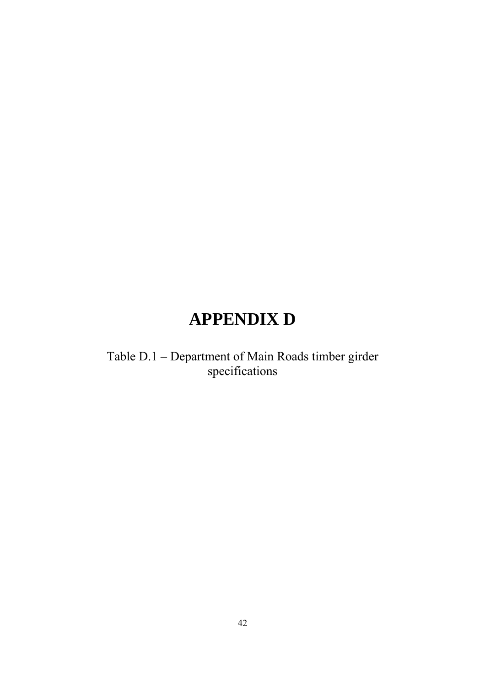# **APPENDIX D**

Table D.1 – Department of Main Roads timber girder specifications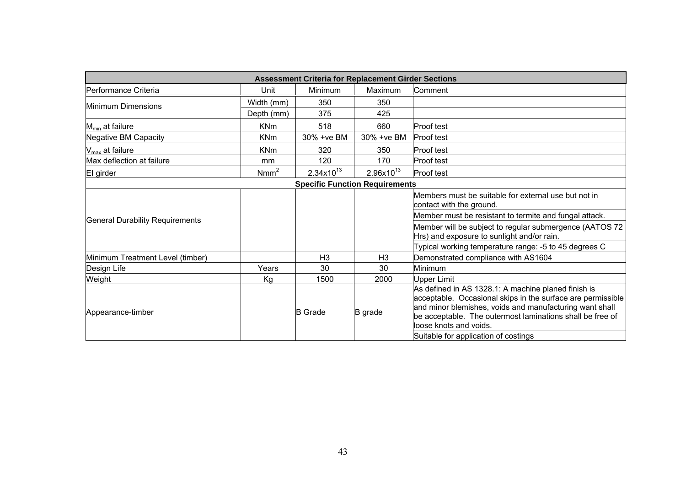|                                        | <b>Assessment Criteria for Replacement Girder Sections</b> |                       |                                       |                                                                                                                                                                                                                                                                                                             |  |
|----------------------------------------|------------------------------------------------------------|-----------------------|---------------------------------------|-------------------------------------------------------------------------------------------------------------------------------------------------------------------------------------------------------------------------------------------------------------------------------------------------------------|--|
| Performance Criteria                   | Unit                                                       | Minimum               | Maximum                               | Comment                                                                                                                                                                                                                                                                                                     |  |
| Minimum Dimensions                     | Width (mm)                                                 | 350                   | 350                                   |                                                                                                                                                                                                                                                                                                             |  |
|                                        | Depth (mm)                                                 | 375                   | 425                                   |                                                                                                                                                                                                                                                                                                             |  |
| $M_{min}$ at failure                   | <b>KNm</b>                                                 | 518                   | 660                                   | <b>Proof test</b>                                                                                                                                                                                                                                                                                           |  |
| <b>Negative BM Capacity</b>            | <b>KNm</b>                                                 | 30% + ve BM           | 30% + ve BM                           | <b>Proof test</b>                                                                                                                                                                                                                                                                                           |  |
| $V_{\text{max}}$ at failure            | <b>KNm</b>                                                 | 320                   | 350                                   | <b>Proof test</b>                                                                                                                                                                                                                                                                                           |  |
| Max deflection at failure              | mm                                                         | 120                   | 170                                   | Proof test                                                                                                                                                                                                                                                                                                  |  |
| El girder                              | Nmm <sup>2</sup>                                           | $2.34 \times 10^{13}$ | $2.96x10^{13}$                        | Proof test                                                                                                                                                                                                                                                                                                  |  |
|                                        |                                                            |                       | <b>Specific Function Requirements</b> |                                                                                                                                                                                                                                                                                                             |  |
|                                        |                                                            |                       |                                       | Members must be suitable for external use but not in<br>contact with the ground.                                                                                                                                                                                                                            |  |
| <b>General Durability Requirements</b> |                                                            |                       |                                       | Member must be resistant to termite and fungal attack.                                                                                                                                                                                                                                                      |  |
|                                        |                                                            |                       |                                       | Member will be subject to regular submergence (AATOS 72<br>Hrs) and exposure to sunlight and/or rain.                                                                                                                                                                                                       |  |
|                                        |                                                            |                       |                                       | Typical working temperature range: -5 to 45 degrees C                                                                                                                                                                                                                                                       |  |
| Minimum Treatment Level (timber)       |                                                            | H <sub>3</sub>        | H <sub>3</sub>                        | Demonstrated compliance with AS1604                                                                                                                                                                                                                                                                         |  |
| Design Life                            | Years                                                      | 30                    | 30                                    | Minimum                                                                                                                                                                                                                                                                                                     |  |
| Weight                                 | Kg                                                         | 1500                  | 2000                                  | Upper Limit                                                                                                                                                                                                                                                                                                 |  |
| Appearance-timber                      |                                                            | <b>B</b> Grade        | B grade                               | As defined in AS 1328.1: A machine planed finish is<br>acceptable. Occasional skips in the surface are permissible<br>and minor blemishes, voids and manufacturing want shall<br>be acceptable. The outermost laminations shall be free of<br>loose knots and voids<br>Suitable for application of costings |  |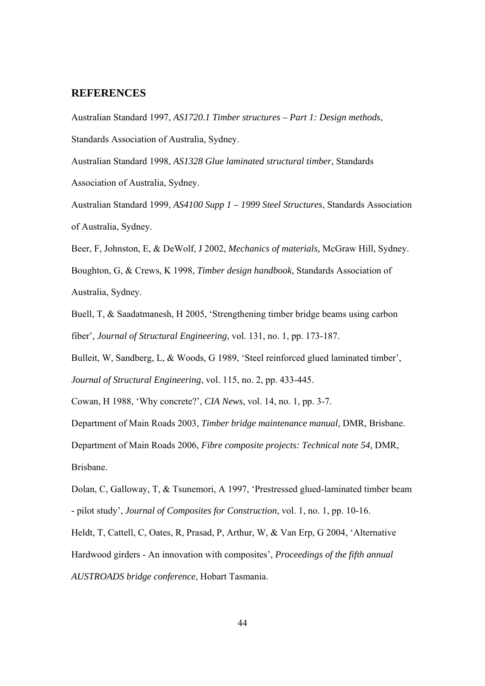#### **REFERENCES**

Australian Standard 1997, *AS1720.1 Timber structures – Part 1: Design methods*, Standards Association of Australia, Sydney.

Australian Standard 1998, *AS1328 Glue laminated structural timber*, Standards Association of Australia, Sydney.

Australian Standard 1999, *AS4100 Supp 1 – 1999 Steel Structures*, Standards Association of Australia, Sydney.

Beer, F, Johnston, E, & DeWolf, J 2002, *Mechanics of materials,* McGraw Hill, Sydney. Boughton, G, & Crews, K 1998, *Timber design handbook*, Standards Association of Australia, Sydney.

Buell, T, & Saadatmanesh, H 2005, 'Strengthening timber bridge beams using carbon

fiber', *Journal of Structural Engineering*, vol. 131, no. 1, pp. 173-187.

Bulleit, W, Sandberg, L, & Woods, G 1989, 'Steel reinforced glued laminated timber',

*Journal of Structural Engineering*, vol. 115, no. 2, pp. 433-445.

Cowan, H 1988, 'Why concrete?', *CIA News*, vol. 14, no. 1, pp. 3-7.

Department of Main Roads 2003, *Timber bridge maintenance manual,* DMR, Brisbane.

Department of Main Roads 2006, *Fibre composite projects: Technical note 54,* DMR, Brisbane.

Dolan, C, Galloway, T, & Tsunemori, A 1997, 'Prestressed glued-laminated timber beam - pilot study', *Journal of Composites for Construction*, vol. 1, no. 1, pp. 10-16.

Heldt, T, Cattell, C, Oates, R, Prasad, P, Arthur, W, & Van Erp, G 2004, 'Alternative Hardwood girders - An innovation with composites', *Proceedings of the fifth annual AUSTROADS bridge conference*, Hobart Tasmania.